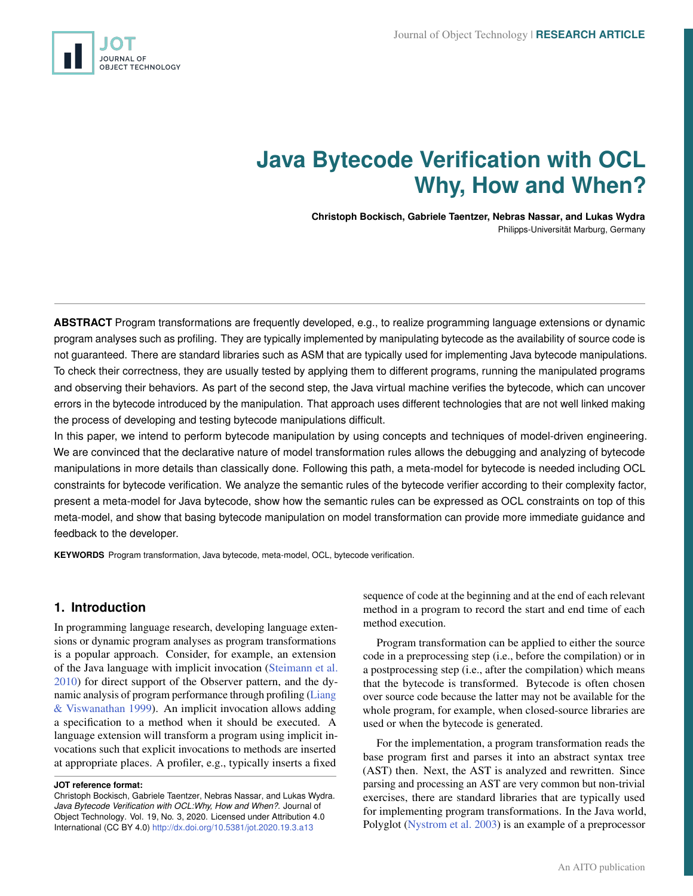<span id="page-0-0"></span>

# **Java Bytecode Verification with OCL Why, How and When?**

**Christoph Bockisch, Gabriele Taentzer, Nebras Nassar, and Lukas Wydra** Philipps-Universität Marburg, Germany

**ABSTRACT** Program transformations are frequently developed, e.g., to realize programming language extensions or dynamic program analyses such as profiling. They are typically implemented by manipulating bytecode as the availability of source code is not guaranteed. There are standard libraries such as ASM that are typically used for implementing Java bytecode manipulations. To check their correctness, they are usually tested by applying them to different programs, running the manipulated programs and observing their behaviors. As part of the second step, the Java virtual machine verifies the bytecode, which can uncover errors in the bytecode introduced by the manipulation. That approach uses different technologies that are not well linked making the process of developing and testing bytecode manipulations difficult.

In this paper, we intend to perform bytecode manipulation by using concepts and techniques of model-driven engineering. We are convinced that the declarative nature of model transformation rules allows the debugging and analyzing of bytecode manipulations in more details than classically done. Following this path, a meta-model for bytecode is needed including OCL constraints for bytecode verification. We analyze the semantic rules of the bytecode verifier according to their complexity factor, present a meta-model for Java bytecode, show how the semantic rules can be expressed as OCL constraints on top of this meta-model, and show that basing bytecode manipulation on model transformation can provide more immediate guidance and feedback to the developer.

**KEYWORDS** Program transformation, Java bytecode, meta-model, OCL, bytecode verification.

# **1. Introduction**

In programming language research, developing language extensions or dynamic program analyses as program transformations is a popular approach. Consider, for example, an extension of the Java language with implicit invocation [\(Steimann et al.](#page-14-0) [2010\)](#page-14-0) for direct support of the Observer pattern, and the dynamic analysis of program performance through profiling [\(Liang](#page-14-1) [& Viswanathan](#page-14-1) [1999\)](#page-14-1). An implicit invocation allows adding a specification to a method when it should be executed. A language extension will transform a program using implicit invocations such that explicit invocations to methods are inserted at appropriate places. A profiler, e.g., typically inserts a fixed

sequence of code at the beginning and at the end of each relevant method in a program to record the start and end time of each method execution.

Program transformation can be applied to either the source code in a preprocessing step (i.e., before the compilation) or in a postprocessing step (i.e., after the compilation) which means that the bytecode is transformed. Bytecode is often chosen over source code because the latter may not be available for the whole program, for example, when closed-source libraries are used or when the bytecode is generated.

For the implementation, a program transformation reads the base program first and parses it into an abstract syntax tree (AST) then. Next, the AST is analyzed and rewritten. Since parsing and processing an AST are very common but non-trivial exercises, there are standard libraries that are typically used for implementing program transformations. In the Java world, Polyglot [\(Nystrom et al.](#page-14-2) [2003\)](#page-14-2) is an example of a preprocessor

**JOT reference format:**

Christoph Bockisch, Gabriele Taentzer, Nebras Nassar, and Lukas Wydra. *Java Bytecode Verification with OCL:Why, How and When?*. Journal of Object Technology. Vol. 19, No. 3, 2020. Licensed under Attribution 4.0 International (CC BY 4.0) <http://dx.doi.org/10.5381/jot.2020.19.3.a13>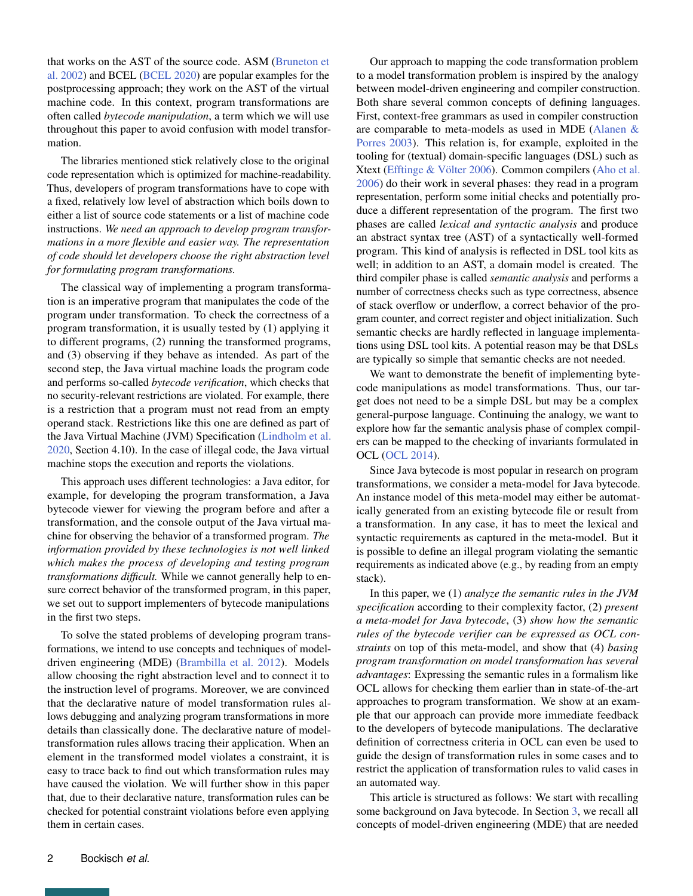that works on the AST of the source code. ASM [\(Bruneton et](#page-13-0) [al.](#page-13-0) [2002\)](#page-13-0) and BCEL [\(BCEL](#page-13-1) [2020\)](#page-13-1) are popular examples for the postprocessing approach; they work on the AST of the virtual machine code. In this context, program transformations are often called *bytecode manipulation*, a term which we will use throughout this paper to avoid confusion with model transformation.

The libraries mentioned stick relatively close to the original code representation which is optimized for machine-readability. Thus, developers of program transformations have to cope with a fixed, relatively low level of abstraction which boils down to either a list of source code statements or a list of machine code instructions. *We need an approach to develop program transformations in a more flexible and easier way. The representation of code should let developers choose the right abstraction level for formulating program transformations.*

The classical way of implementing a program transformation is an imperative program that manipulates the code of the program under transformation. To check the correctness of a program transformation, it is usually tested by (1) applying it to different programs, (2) running the transformed programs, and (3) observing if they behave as intended. As part of the second step, the Java virtual machine loads the program code and performs so-called *bytecode verification*, which checks that no security-relevant restrictions are violated. For example, there is a restriction that a program must not read from an empty operand stack. Restrictions like this one are defined as part of the Java Virtual Machine (JVM) Specification [\(Lindholm et al.](#page-14-3) [2020,](#page-14-3) Section 4.10). In the case of illegal code, the Java virtual machine stops the execution and reports the violations.

This approach uses different technologies: a Java editor, for example, for developing the program transformation, a Java bytecode viewer for viewing the program before and after a transformation, and the console output of the Java virtual machine for observing the behavior of a transformed program. *The information provided by these technologies is not well linked which makes the process of developing and testing program transformations difficult.* While we cannot generally help to ensure correct behavior of the transformed program, in this paper, we set out to support implementers of bytecode manipulations in the first two steps.

To solve the stated problems of developing program transformations, we intend to use concepts and techniques of modeldriven engineering (MDE) [\(Brambilla et al.](#page-13-2) [2012\)](#page-13-2). Models allow choosing the right abstraction level and to connect it to the instruction level of programs. Moreover, we are convinced that the declarative nature of model transformation rules allows debugging and analyzing program transformations in more details than classically done. The declarative nature of modeltransformation rules allows tracing their application. When an element in the transformed model violates a constraint, it is easy to trace back to find out which transformation rules may have caused the violation. We will further show in this paper that, due to their declarative nature, transformation rules can be checked for potential constraint violations before even applying them in certain cases.

Our approach to mapping the code transformation problem to a model transformation problem is inspired by the analogy between model-driven engineering and compiler construction. Both share several common concepts of defining languages. First, context-free grammars as used in compiler construction are comparable to meta-models as used in MDE [\(Alanen &](#page-13-3) [Porres](#page-13-3) [2003\)](#page-13-3). This relation is, for example, exploited in the tooling for (textual) domain-specific languages (DSL) such as Xtext [\(Efftinge & Völter](#page-13-4) [2006\)](#page-13-4). Common compilers [\(Aho et al.](#page-13-5) [2006\)](#page-13-5) do their work in several phases: they read in a program representation, perform some initial checks and potentially produce a different representation of the program. The first two phases are called *lexical and syntactic analysis* and produce an abstract syntax tree (AST) of a syntactically well-formed program. This kind of analysis is reflected in DSL tool kits as well; in addition to an AST, a domain model is created. The third compiler phase is called *semantic analysis* and performs a number of correctness checks such as type correctness, absence of stack overflow or underflow, a correct behavior of the program counter, and correct register and object initialization. Such semantic checks are hardly reflected in language implementations using DSL tool kits. A potential reason may be that DSLs are typically so simple that semantic checks are not needed.

We want to demonstrate the benefit of implementing bytecode manipulations as model transformations. Thus, our target does not need to be a simple DSL but may be a complex general-purpose language. Continuing the analogy, we want to explore how far the semantic analysis phase of complex compilers can be mapped to the checking of invariants formulated in OCL [\(OCL](#page-14-4) [2014\)](#page-14-4).

Since Java bytecode is most popular in research on program transformations, we consider a meta-model for Java bytecode. An instance model of this meta-model may either be automatically generated from an existing bytecode file or result from a transformation. In any case, it has to meet the lexical and syntactic requirements as captured in the meta-model. But it is possible to define an illegal program violating the semantic requirements as indicated above (e.g., by reading from an empty stack).

In this paper, we (1) *analyze the semantic rules in the JVM specification* according to their complexity factor, (2) *present a meta-model for Java bytecode*, (3) *show how the semantic rules of the bytecode verifier can be expressed as OCL constraints* on top of this meta-model, and show that (4) *basing program transformation on model transformation has several advantages*: Expressing the semantic rules in a formalism like OCL allows for checking them earlier than in state-of-the-art approaches to program transformation. We show at an example that our approach can provide more immediate feedback to the developers of bytecode manipulations. The declarative definition of correctness criteria in OCL can even be used to guide the design of transformation rules in some cases and to restrict the application of transformation rules to valid cases in an automated way.

This article is structured as follows: We start with recalling some background on Java bytecode. In Section [3,](#page-4-0) we recall all concepts of model-driven engineering (MDE) that are needed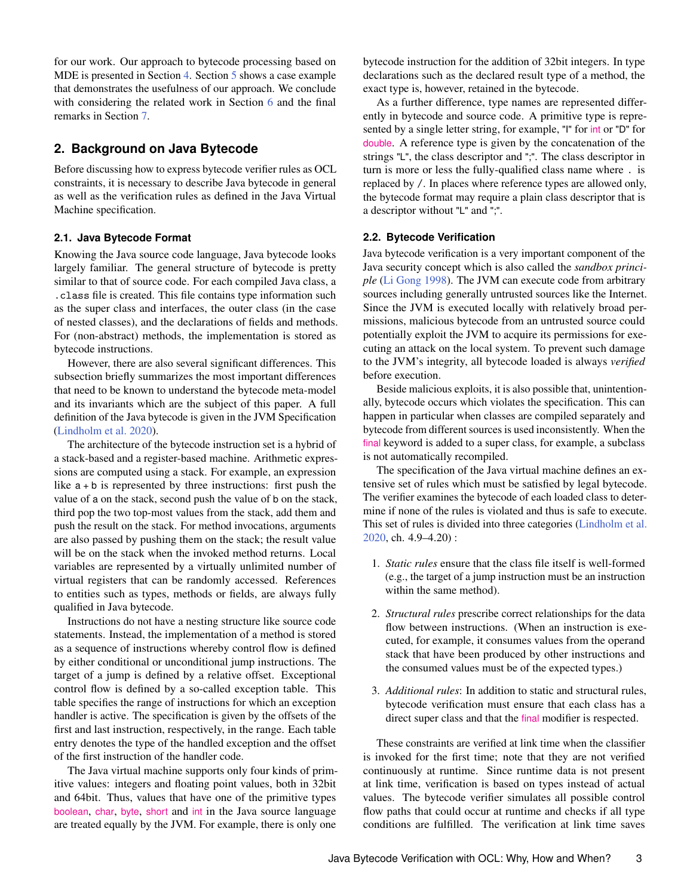for our work. Our approach to bytecode processing based on MDE is presented in Section [4.](#page-5-0) Section [5](#page-9-0) shows a case example that demonstrates the usefulness of our approach. We conclude with considering the related work in Section [6](#page-12-0) and the final remarks in Section [7.](#page-12-1)

# **2. Background on Java Bytecode**

Before discussing how to express bytecode verifier rules as OCL constraints, it is necessary to describe Java bytecode in general as well as the verification rules as defined in the Java Virtual Machine specification.

## **2.1. Java Bytecode Format**

Knowing the Java source code language, Java bytecode looks largely familiar. The general structure of bytecode is pretty similar to that of source code. For each compiled Java class, a .class file is created. This file contains type information such as the super class and interfaces, the outer class (in the case of nested classes), and the declarations of fields and methods. For (non-abstract) methods, the implementation is stored as bytecode instructions.

However, there are also several significant differences. This subsection briefly summarizes the most important differences that need to be known to understand the bytecode meta-model and its invariants which are the subject of this paper. A full definition of the Java bytecode is given in the JVM Specification [\(Lindholm et al.](#page-14-3) [2020\)](#page-14-3).

The architecture of the bytecode instruction set is a hybrid of a stack-based and a register-based machine. Arithmetic expressions are computed using a stack. For example, an expression like  $a + b$  is represented by three instructions: first push the value of a on the stack, second push the value of b on the stack, third pop the two top-most values from the stack, add them and push the result on the stack. For method invocations, arguments are also passed by pushing them on the stack; the result value will be on the stack when the invoked method returns. Local variables are represented by a virtually unlimited number of virtual registers that can be randomly accessed. References to entities such as types, methods or fields, are always fully qualified in Java bytecode.

Instructions do not have a nesting structure like source code statements. Instead, the implementation of a method is stored as a sequence of instructions whereby control flow is defined by either conditional or unconditional jump instructions. The target of a jump is defined by a relative offset. Exceptional control flow is defined by a so-called exception table. This table specifies the range of instructions for which an exception handler is active. The specification is given by the offsets of the first and last instruction, respectively, in the range. Each table entry denotes the type of the handled exception and the offset of the first instruction of the handler code.

The Java virtual machine supports only four kinds of primitive values: integers and floating point values, both in 32bit and 64bit. Thus, values that have one of the primitive types boolean, char, byte, short and int in the Java source language are treated equally by the JVM. For example, there is only one

bytecode instruction for the addition of 32bit integers. In type declarations such as the declared result type of a method, the exact type is, however, retained in the bytecode.

As a further difference, type names are represented differently in bytecode and source code. A primitive type is represented by a single letter string, for example, "I" for int or "D" for double. A reference type is given by the concatenation of the strings "L", the class descriptor and ";". The class descriptor in turn is more or less the fully-qualified class name where . is replaced by /. In places where reference types are allowed only, the bytecode format may require a plain class descriptor that is a descriptor without "L" and ";".

## <span id="page-2-0"></span>**2.2. Bytecode Verification**

Java bytecode verification is a very important component of the Java security concept which is also called the *sandbox principle* [\(Li Gong](#page-14-5) [1998\)](#page-14-5). The JVM can execute code from arbitrary sources including generally untrusted sources like the Internet. Since the JVM is executed locally with relatively broad permissions, malicious bytecode from an untrusted source could potentially exploit the JVM to acquire its permissions for executing an attack on the local system. To prevent such damage to the JVM's integrity, all bytecode loaded is always *verified* before execution.

Beside malicious exploits, it is also possible that, unintentionally, bytecode occurs which violates the specification. This can happen in particular when classes are compiled separately and bytecode from different sources is used inconsistently. When the final keyword is added to a super class, for example, a subclass is not automatically recompiled.

The specification of the Java virtual machine defines an extensive set of rules which must be satisfied by legal bytecode. The verifier examines the bytecode of each loaded class to determine if none of the rules is violated and thus is safe to execute. This set of rules is divided into three categories [\(Lindholm et al.](#page-14-3) [2020,](#page-14-3) ch. 4.9–4.20) :

- 1. *Static rules* ensure that the class file itself is well-formed (e.g., the target of a jump instruction must be an instruction within the same method).
- 2. *Structural rules* prescribe correct relationships for the data flow between instructions. (When an instruction is executed, for example, it consumes values from the operand stack that have been produced by other instructions and the consumed values must be of the expected types.)
- 3. *Additional rules*: In addition to static and structural rules, bytecode verification must ensure that each class has a direct super class and that the final modifier is respected.

These constraints are verified at link time when the classifier is invoked for the first time; note that they are not verified continuously at runtime. Since runtime data is not present at link time, verification is based on types instead of actual values. The bytecode verifier simulates all possible control flow paths that could occur at runtime and checks if all type conditions are fulfilled. The verification at link time saves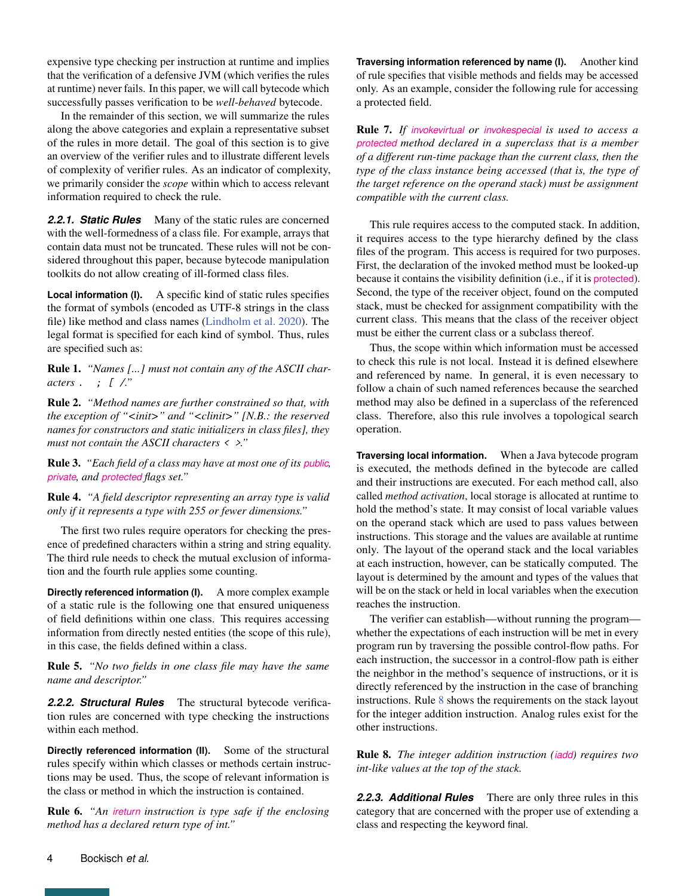expensive type checking per instruction at runtime and implies that the verification of a defensive JVM (which verifies the rules at runtime) never fails. In this paper, we will call bytecode which successfully passes verification to be *well-behaved* bytecode.

In the remainder of this section, we will summarize the rules along the above categories and explain a representative subset of the rules in more detail. The goal of this section is to give an overview of the verifier rules and to illustrate different levels of complexity of verifier rules. As an indicator of complexity, we primarily consider the *scope* within which to access relevant information required to check the rule.

*2.2.1. Static Rules* Many of the static rules are concerned with the well-formedness of a class file. For example, arrays that contain data must not be truncated. These rules will not be considered throughout this paper, because bytecode manipulation toolkits do not allow creating of ill-formed class files.

**Local information (I).** A specific kind of static rules specifies the format of symbols (encoded as UTF-8 strings in the class file) like method and class names [\(Lindholm et al.](#page-14-3) [2020\)](#page-14-3). The legal format is specified for each kind of symbol. Thus, rules are specified such as:

<span id="page-3-2"></span>Rule 1. *"Names [...] must not contain any of the ASCII characters* . ; [ /*."*

<span id="page-3-3"></span>Rule 2. *"Method names are further constrained so that, with the exception of "<init>" and "<clinit>" [N.B.: the reserved names for constructors and static initializers in class files], they must not contain the ASCII characters* < >*."*

<span id="page-3-4"></span>Rule 3. *"Each field of a class may have at most one of its public, private, and protected flags set."*

<span id="page-3-5"></span>Rule 4. *"A field descriptor representing an array type is valid only if it represents a type with 255 or fewer dimensions."*

The first two rules require operators for checking the presence of predefined characters within a string and string equality. The third rule needs to check the mutual exclusion of information and the fourth rule applies some counting.

**Directly referenced information (I).** A more complex example of a static rule is the following one that ensured uniqueness of field definitions within one class. This requires accessing information from directly nested entities (the scope of this rule), in this case, the fields defined within a class.

<span id="page-3-6"></span>Rule 5. *"No two fields in one class file may have the same name and descriptor."*

*2.2.2. Structural Rules* The structural bytecode verification rules are concerned with type checking the instructions within each method.

**Directly referenced information (II).** Some of the structural rules specify within which classes or methods certain instructions may be used. Thus, the scope of relevant information is the class or method in which the instruction is contained.

<span id="page-3-7"></span>Rule 6. *"An ireturn instruction is type safe if the enclosing method has a declared return type of int."*

**Traversing information referenced by name (I).** Another kind of rule specifies that visible methods and fields may be accessed only. As an example, consider the following rule for accessing a protected field.

<span id="page-3-1"></span>Rule 7. *If invokevirtual or invokespecial is used to access a protected method declared in a superclass that is a member of a different run-time package than the current class, then the type of the class instance being accessed (that is, the type of the target reference on the operand stack) must be assignment compatible with the current class.*

This rule requires access to the computed stack. In addition, it requires access to the type hierarchy defined by the class files of the program. This access is required for two purposes. First, the declaration of the invoked method must be looked-up because it contains the visibility definition (i.e., if it is protected). Second, the type of the receiver object, found on the computed stack, must be checked for assignment compatibility with the current class. This means that the class of the receiver object must be either the current class or a subclass thereof.

Thus, the scope within which information must be accessed to check this rule is not local. Instead it is defined elsewhere and referenced by name. In general, it is even necessary to follow a chain of such named references because the searched method may also be defined in a superclass of the referenced class. Therefore, also this rule involves a topological search operation.

**Traversing local information.** When a Java bytecode program is executed, the methods defined in the bytecode are called and their instructions are executed. For each method call, also called *method activation*, local storage is allocated at runtime to hold the method's state. It may consist of local variable values on the operand stack which are used to pass values between instructions. This storage and the values are available at runtime only. The layout of the operand stack and the local variables at each instruction, however, can be statically computed. The layout is determined by the amount and types of the values that will be on the stack or held in local variables when the execution reaches the instruction.

The verifier can establish—without running the program whether the expectations of each instruction will be met in every program run by traversing the possible control-flow paths. For each instruction, the successor in a control-flow path is either the neighbor in the method's sequence of instructions, or it is directly referenced by the instruction in the case of branching instructions. Rule [8](#page-3-0) shows the requirements on the stack layout for the integer addition instruction. Analog rules exist for the other instructions.

<span id="page-3-0"></span>Rule 8. *The integer addition instruction (iadd) requires two int-like values at the top of the stack.*

*2.2.3. Additional Rules* There are only three rules in this category that are concerned with the proper use of extending a class and respecting the keyword final.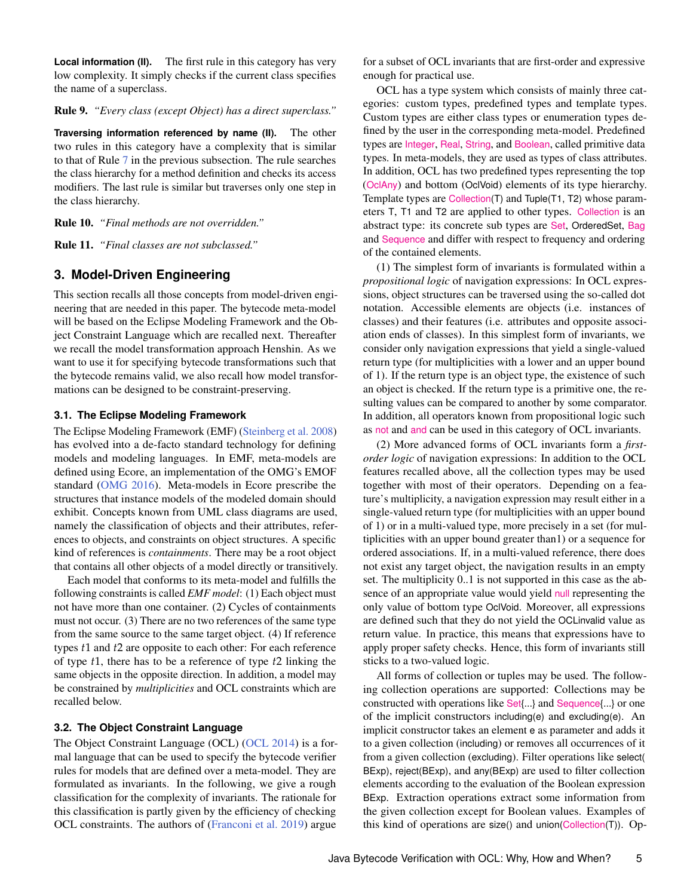**Local information (II).** The first rule in this category has very low complexity. It simply checks if the current class specifies the name of a superclass.

## <span id="page-4-2"></span>Rule 9. *"Every class (except Object) has a direct superclass."*

**Traversing information referenced by name (II).** The other two rules in this category have a complexity that is similar to that of Rule [7](#page-3-1) in the previous subsection. The rule searches the class hierarchy for a method definition and checks its access modifiers. The last rule is similar but traverses only one step in the class hierarchy.

<span id="page-4-3"></span>Rule 10. *"Final methods are not overridden."*

<span id="page-4-4"></span>Rule 11. *"Final classes are not subclassed."*

## <span id="page-4-0"></span>**3. Model-Driven Engineering**

This section recalls all those concepts from model-driven engineering that are needed in this paper. The bytecode meta-model will be based on the Eclipse Modeling Framework and the Object Constraint Language which are recalled next. Thereafter we recall the model transformation approach Henshin. As we want to use it for specifying bytecode transformations such that the bytecode remains valid, we also recall how model transformations can be designed to be constraint-preserving.

#### **3.1. The Eclipse Modeling Framework**

The Eclipse Modeling Framework (EMF) [\(Steinberg et al.](#page-14-6) [2008\)](#page-14-6) has evolved into a de-facto standard technology for defining models and modeling languages. In EMF, meta-models are defined using Ecore, an implementation of the OMG's EMOF standard [\(OMG](#page-14-7) [2016\)](#page-14-7). Meta-models in Ecore prescribe the structures that instance models of the modeled domain should exhibit. Concepts known from UML class diagrams are used, namely the classification of objects and their attributes, references to objects, and constraints on object structures. A specific kind of references is *containments*. There may be a root object that contains all other objects of a model directly or transitively.

Each model that conforms to its meta-model and fulfills the following constraints is called *EMF model*: (1) Each object must not have more than one container. (2) Cycles of containments must not occur. (3) There are no two references of the same type from the same source to the same target object. (4) If reference types *t*1 and *t*2 are opposite to each other: For each reference of type *t*1, there has to be a reference of type *t*2 linking the same objects in the opposite direction. In addition, a model may be constrained by *multiplicities* and OCL constraints which are recalled below.

## <span id="page-4-1"></span>**3.2. The Object Constraint Language**

The Object Constraint Language (OCL) [\(OCL](#page-14-4) [2014\)](#page-14-4) is a formal language that can be used to specify the bytecode verifier rules for models that are defined over a meta-model. They are formulated as invariants. In the following, we give a rough classification for the complexity of invariants. The rationale for this classification is partly given by the efficiency of checking OCL constraints. The authors of [\(Franconi et al.](#page-13-6) [2019\)](#page-13-6) argue

for a subset of OCL invariants that are first-order and expressive enough for practical use.

OCL has a type system which consists of mainly three categories: custom types, predefined types and template types. Custom types are either class types or enumeration types defined by the user in the corresponding meta-model. Predefined types are Integer, Real, String, and Boolean, called primitive data types. In meta-models, they are used as types of class attributes. In addition, OCL has two predefined types representing the top (OclAny) and bottom (OclVoid) elements of its type hierarchy. Template types are Collection(T) and Tuple(T1, T2) whose parameters T, T1 and T2 are applied to other types. Collection is an abstract type: its concrete sub types are Set, OrderedSet, Bag and Sequence and differ with respect to frequency and ordering of the contained elements.

(1) The simplest form of invariants is formulated within a *propositional logic* of navigation expressions: In OCL expressions, object structures can be traversed using the so-called dot notation. Accessible elements are objects (i.e. instances of classes) and their features (i.e. attributes and opposite association ends of classes). In this simplest form of invariants, we consider only navigation expressions that yield a single-valued return type (for multiplicities with a lower and an upper bound of 1). If the return type is an object type, the existence of such an object is checked. If the return type is a primitive one, the resulting values can be compared to another by some comparator. In addition, all operators known from propositional logic such as not and and can be used in this category of OCL invariants.

(2) More advanced forms of OCL invariants form a *firstorder logic* of navigation expressions: In addition to the OCL features recalled above, all the collection types may be used together with most of their operators. Depending on a feature's multiplicity, a navigation expression may result either in a single-valued return type (for multiplicities with an upper bound of 1) or in a multi-valued type, more precisely in a set (for multiplicities with an upper bound greater than1) or a sequence for ordered associations. If, in a multi-valued reference, there does not exist any target object, the navigation results in an empty set. The multiplicity 0..1 is not supported in this case as the absence of an appropriate value would yield null representing the only value of bottom type OclVoid. Moreover, all expressions are defined such that they do not yield the OCLinvalid value as return value. In practice, this means that expressions have to apply proper safety checks. Hence, this form of invariants still sticks to a two-valued logic.

All forms of collection or tuples may be used. The following collection operations are supported: Collections may be constructed with operations like Set{...} and Sequence{...} or one of the implicit constructors including(e) and excluding(e). An implicit constructor takes an element e as parameter and adds it to a given collection (including) or removes all occurrences of it from a given collection (excluding). Filter operations like select( BExp), reject(BExp), and any(BExp) are used to filter collection elements according to the evaluation of the Boolean expression BExp. Extraction operations extract some information from the given collection except for Boolean values. Examples of this kind of operations are size() and union(Collection(T)). Op-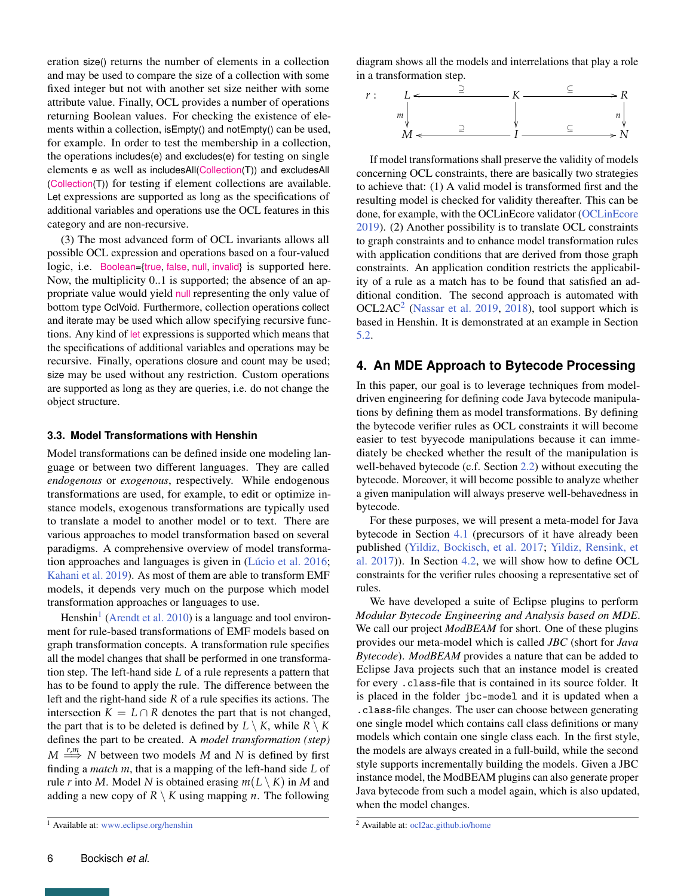eration size() returns the number of elements in a collection and may be used to compare the size of a collection with some fixed integer but not with another set size neither with some attribute value. Finally, OCL provides a number of operations returning Boolean values. For checking the existence of elements within a collection, isEmpty() and notEmpty() can be used, for example. In order to test the membership in a collection, the operations includes(e) and excludes(e) for testing on single elements e as well as includesAll(Collection(T)) and excludesAll (Collection(T)) for testing if element collections are available. Let expressions are supported as long as the specifications of additional variables and operations use the OCL features in this category and are non-recursive.

(3) The most advanced form of OCL invariants allows all possible OCL expression and operations based on a four-valued logic, i.e. Boolean={true, false, null, invalid} is supported here. Now, the multiplicity 0..1 is supported; the absence of an appropriate value would yield null representing the only value of bottom type OclVoid. Furthermore, collection operations collect and iterate may be used which allow specifying recursive functions. Any kind of let expressions is supported which means that the specifications of additional variables and operations may be recursive. Finally, operations closure and count may be used; size may be used without any restriction. Custom operations are supported as long as they are queries, i.e. do not change the object structure.

#### **3.3. Model Transformations with Henshin**

Model transformations can be defined inside one modeling language or between two different languages. They are called *endogenous* or *exogenous*, respectively. While endogenous transformations are used, for example, to edit or optimize instance models, exogenous transformations are typically used to translate a model to another model or to text. There are various approaches to model transformation based on several paradigms. A comprehensive overview of model transformation approaches and languages is given in [\(Lúcio et al.](#page-14-8) [2016;](#page-14-8) [Kahani et al.](#page-13-7) [2019\)](#page-13-7). As most of them are able to transform EMF models, it depends very much on the purpose which model transformation approaches or languages to use.

Henshin<sup>[1](#page-0-0)</sup> [\(Arendt et al.](#page-13-8) [2010\)](#page-13-8) is a language and tool environment for rule-based transformations of EMF models based on graph transformation concepts. A transformation rule specifies all the model changes that shall be performed in one transformation step. The left-hand side *L* of a rule represents a pattern that has to be found to apply the rule. The difference between the left and the right-hand side *R* of a rule specifies its actions. The intersection  $K = L \cap R$  denotes the part that is not changed, the part that is to be deleted is defined by  $L \setminus K$ , while  $R \setminus K$ defines the part to be created. A *model transformation (step)*  $M \xrightarrow{r,m} N$  between two models *M* and *N* is defined by first finding a *match m*, that is a mapping of the left-hand side *L* of rule *r* into *M*. Model *N* is obtained erasing  $m(L \setminus K)$  in *M* and adding a new copy of  $R \setminus K$  using mapping *n*. The following

diagram shows all the models and interrelations that play a role in a transformation step.



If model transformations shall preserve the validity of models concerning OCL constraints, there are basically two strategies to achieve that: (1) A valid model is transformed first and the resulting model is checked for validity thereafter. This can be done, for example, with the OCLinEcore validator [\(OCLinEcore](#page-14-9) [2019\)](#page-14-9). (2) Another possibility is to translate OCL constraints to graph constraints and to enhance model transformation rules with application conditions that are derived from those graph constraints. An application condition restricts the applicability of a rule as a match has to be found that satisfied an additional condition. The second approach is automated with  $OCL2AC<sup>2</sup>$  $OCL2AC<sup>2</sup>$  $OCL2AC<sup>2</sup>$  [\(Nassar et al.](#page-14-10) [2019,](#page-14-10) [2018\)](#page-14-11), tool support which is based in Henshin. It is demonstrated at an example in Section [5.2.](#page-11-0)

## <span id="page-5-0"></span>**4. An MDE Approach to Bytecode Processing**

In this paper, our goal is to leverage techniques from modeldriven engineering for defining code Java bytecode manipulations by defining them as model transformations. By defining the bytecode verifier rules as OCL constraints it will become easier to test byyecode manipulations because it can immediately be checked whether the result of the manipulation is well-behaved bytecode (c.f. Section [2.2\)](#page-2-0) without executing the bytecode. Moreover, it will become possible to analyze whether a given manipulation will always preserve well-behavedness in bytecode.

For these purposes, we will present a meta-model for Java bytecode in Section [4.1](#page-6-0) (precursors of it have already been published [\(Yildiz, Bockisch, et al.](#page-14-12) [2017;](#page-14-12) [Yildiz, Rensink, et](#page-14-13) [al.](#page-14-13) [2017\)](#page-14-13)). In Section [4.2,](#page-7-0) we will show how to define OCL constraints for the verifier rules choosing a representative set of rules.

We have developed a suite of Eclipse plugins to perform *Modular Bytecode Engineering and Analysis based on MDE*. We call our project *ModBEAM* for short. One of these plugins provides our meta-model which is called *JBC* (short for *Java Bytecode*). *ModBEAM* provides a nature that can be added to Eclipse Java projects such that an instance model is created for every .class-file that is contained in its source folder. It is placed in the folder jbc-model and it is updated when a .class-file changes. The user can choose between generating one single model which contains call class definitions or many models which contain one single class each. In the first style, the models are always created in a full-build, while the second style supports incrementally building the models. Given a JBC instance model, the ModBEAM plugins can also generate proper Java bytecode from such a model again, which is also updated, when the model changes.

<sup>1</sup> Available at: <www.eclipse.org/henshin>

<sup>2</sup> Available at: <ocl2ac.github.io/home>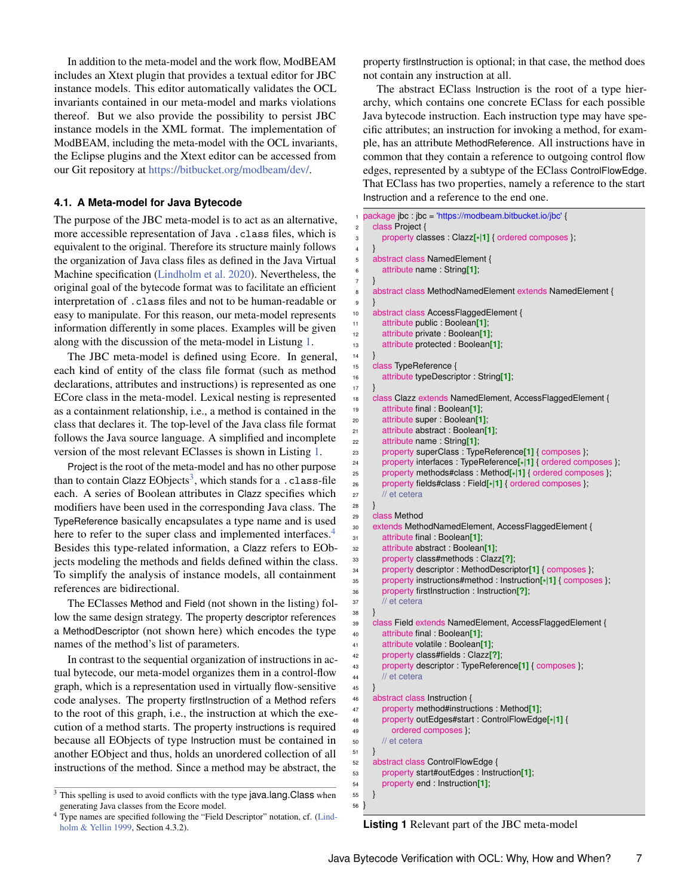In addition to the meta-model and the work flow, ModBEAM includes an Xtext plugin that provides a textual editor for JBC instance models. This editor automatically validates the OCL invariants contained in our meta-model and marks violations thereof. But we also provide the possibility to persist JBC instance models in the XML format. The implementation of ModBEAM, including the meta-model with the OCL invariants, the Eclipse plugins and the Xtext editor can be accessed from our Git repository at [https://bitbucket.org/modbeam/dev/.](https://bitbucket.org/modbeam/dev/)

#### <span id="page-6-0"></span>**4.1. A Meta-model for Java Bytecode**

The purpose of the JBC meta-model is to act as an alternative, more accessible representation of Java .class files, which is equivalent to the original. Therefore its structure mainly follows the organization of Java class files as defined in the Java Virtual Machine specification [\(Lindholm et al.](#page-14-3) [2020\)](#page-14-3). Nevertheless, the original goal of the bytecode format was to facilitate an efficient interpretation of .class files and not to be human-readable or easy to manipulate. For this reason, our meta-model represents information differently in some places. Examples will be given along with the discussion of the meta-model in Listung [1.](#page-6-1)

The JBC meta-model is defined using Ecore. In general, each kind of entity of the class file format (such as method declarations, attributes and instructions) is represented as one ECore class in the meta-model. Lexical nesting is represented as a containment relationship, i.e., a method is contained in the class that declares it. The top-level of the Java class file format follows the Java source language. A simplified and incomplete version of the most relevant EClasses is shown in Listing [1.](#page-6-1)

Project is the root of the meta-model and has no other purpose than to contain Clazz  $EObjects<sup>3</sup>$  $EObjects<sup>3</sup>$  $EObjects<sup>3</sup>$ , which stands for a . class-file each. A series of Boolean attributes in Clazz specifies which modifiers have been used in the corresponding Java class. The TypeReference basically encapsulates a type name and is used here to refer to the super class and implemented interfaces.<sup>[4](#page-0-0)</sup> Besides this type-related information, a Clazz refers to EObjects modeling the methods and fields defined within the class. To simplify the analysis of instance models, all containment references are bidirectional.

The EClasses Method and Field (not shown in the listing) follow the same design strategy. The property descriptor references a MethodDescriptor (not shown here) which encodes the type names of the method's list of parameters.

In contrast to the sequential organization of instructions in actual bytecode, our meta-model organizes them in a control-flow graph, which is a representation used in virtually flow-sensitive code analyses. The property firstInstruction of a Method refers to the root of this graph, i.e., the instruction at which the execution of a method starts. The property instructions is required because all EObjects of type Instruction must be contained in another EObject and thus, holds an unordered collection of all instructions of the method. Since a method may be abstract, the

property firstInstruction is optional; in that case, the method does not contain any instruction at all.

The abstract EClass Instruction is the root of a type hierarchy, which contains one concrete EClass for each possible Java bytecode instruction. Each instruction type may have specific attributes; an instruction for invoking a method, for example, has an attribute MethodReference. All instructions have in common that they contain a reference to outgoing control flow edges, represented by a subtype of the EClass ControlFlowEdge. That EClass has two properties, namely a reference to the start Instruction and a reference to the end one.

```
1 package jbc : jbc = 'https://modbeam.bitbucket.io/jbc' {
2 class Project {
 3 property classes : Clazz[*
|1] { ordered composes };
 4 }
 5 abstract class NamedElement {
 6 attribute name : String[1];
 7 }
 8 abstract class MethodNamedElement extends NamedElement {
9 }
10 abstract class AccessFlaggedElement {
11 attribute public : Boolean[1];
12 attribute private : Boolean[1];
13 attribute protected : Boolean[1];
14 }
15 class TypeReference {
16 attribute typeDescriptor : String[1];
17 }
18 class Clazz extends NamedElement, AccessFlaggedElement {
19 attribute final : Boolean[1];
20 attribute super : Boolean[1];
21 attribute abstract : Boolean[1];
22 attribute name : String[1];
23 property superClass : TypeReference[1] { composes };
24 property interfaces : TypeReference[*
|1] { ordered composes };
25 property methods#class : Method[*
|1] { ordered composes };
26 property fields#class : Field[*
|1] { ordered composes };
27 // et cetera
28 }
29 class Method
30 extends MethodNamedElement, AccessFlaggedElement {
31 attribute final : Boolean[1];
32 attribute abstract : Boolean[1];
33 property class#methods : Clazz[?];
34 property descriptor : MethodDescriptor[1] { composes };
35 property instructions#method : Instruction[*
|1] { composes };
36 property firstInstruction : Instruction[?];
37 // et cetera
38 }
39 class Field extends NamedElement, AccessFlaggedElement {
40 attribute final : Boolean[1];
41 attribute volatile : Boolean[1];
42 property class#fields : Clazz[?];
43 property descriptor : TypeReference[1] { composes };
44 // et cetera
45 }
46 abstract class Instruction {
47 property method#instructions : Method[1];
48 property outEdges#start : ControlFlowEdge[*
|1] {
49 ordered composes };
50 // et cetera
51 }
52 abstract class ControlFlowEdge {
53 property start#outEdges : Instruction[1];
54 property end : Instruction[1];
55 }
56 }
```
**Listing 1** Relevant part of the JBC meta-model

<sup>&</sup>lt;sup>3</sup> This spelling is used to avoid conflicts with the type java.lang.Class when generating Java classes from the Ecore model.

<sup>4</sup> Type names are specified following the "Field Descriptor" notation, cf. [\(Lind](#page-14-14)[holm & Yellin](#page-14-14) [1999,](#page-14-14) Section 4.3.2).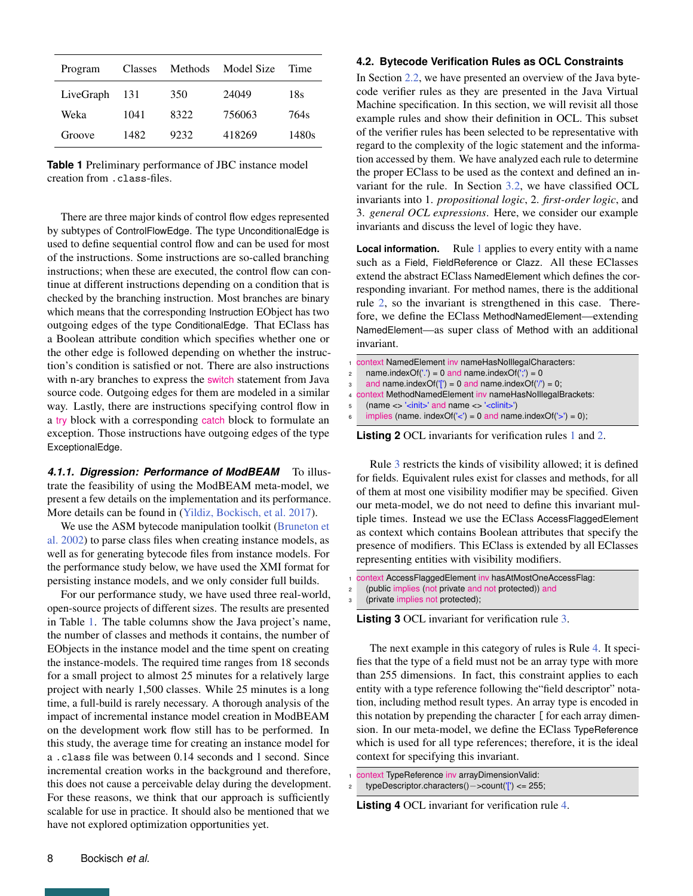<span id="page-7-1"></span>

| Program   | Classes | Methods | Model Size | Time  |
|-----------|---------|---------|------------|-------|
| LiveGraph | 131     | 350     | 24049      | 18s   |
| Weka      | 1041    | 8322    | 756063     | 764s  |
| Groove    | 1482    | 9232    | 418269     | 1480s |

**Table 1** Preliminary performance of JBC instance model creation from .class-files.

There are three major kinds of control flow edges represented by subtypes of ControlFlowEdge. The type UnconditionalEdge is used to define sequential control flow and can be used for most of the instructions. Some instructions are so-called branching instructions; when these are executed, the control flow can continue at different instructions depending on a condition that is checked by the branching instruction. Most branches are binary which means that the corresponding Instruction EObject has two outgoing edges of the type ConditionalEdge. That EClass has a Boolean attribute condition which specifies whether one or the other edge is followed depending on whether the instruction's condition is satisfied or not. There are also instructions with n-ary branches to express the switch statement from Java source code. Outgoing edges for them are modeled in a similar way. Lastly, there are instructions specifying control flow in a try block with a corresponding catch block to formulate an exception. Those instructions have outgoing edges of the type ExceptionalEdge.

*4.1.1. Digression: Performance of ModBEAM* To illustrate the feasibility of using the ModBEAM meta-model, we present a few details on the implementation and its performance. More details can be found in [\(Yildiz, Bockisch, et al.](#page-14-12) [2017\)](#page-14-12).

We use the ASM bytecode manipulation toolkit [\(Bruneton et](#page-13-0) [al.](#page-13-0) [2002\)](#page-13-0) to parse class files when creating instance models, as well as for generating bytecode files from instance models. For the performance study below, we have used the XMI format for persisting instance models, and we only consider full builds.

<span id="page-7-0"></span>For our performance study, we have used three real-world, open-source projects of different sizes. The results are presented in Table [1.](#page-7-1) The table columns show the Java project's name, the number of classes and methods it contains, the number of EObjects in the instance model and the time spent on creating the instance-models. The required time ranges from 18 seconds for a small project to almost 25 minutes for a relatively large project with nearly 1,500 classes. While 25 minutes is a long time, a full-build is rarely necessary. A thorough analysis of the impact of incremental instance model creation in ModBEAM on the development work flow still has to be performed. In this study, the average time for creating an instance model for a .class file was between 0.14 seconds and 1 second. Since incremental creation works in the background and therefore, this does not cause a perceivable delay during the development. For these reasons, we think that our approach is sufficiently scalable for use in practice. It should also be mentioned that we have not explored optimization opportunities yet.

## **4.2. Bytecode Verification Rules as OCL Constraints**

In Section [2.2,](#page-2-0) we have presented an overview of the Java bytecode verifier rules as they are presented in the Java Virtual Machine specification. In this section, we will revisit all those example rules and show their definition in OCL. This subset of the verifier rules has been selected to be representative with regard to the complexity of the logic statement and the information accessed by them. We have analyzed each rule to determine the proper EClass to be used as the context and defined an invariant for the rule. In Section [3.2,](#page-4-1) we have classified OCL invariants into 1. *propositional logic*, 2. *first-order logic*, and 3. *general OCL expressions*. Here, we consider our example invariants and discuss the level of logic they have.

**Local information.** Rule [1](#page-3-2) applies to every entity with a name such as a Field, FieldReference or Clazz. All these EClasses extend the abstract EClass NamedElement which defines the corresponding invariant. For method names, there is the additional rule [2,](#page-3-3) so the invariant is strengthened in this case. Therefore, we define the EClass MethodNamedElement—extending NamedElement—as super class of Method with an additional invariant.

```
context NamedElement inv nameHasNoIIlegalCharacters:
    name.indexOf('.') = 0 and name.indexOf(';') = 0
    and name.indexOf('[') = 0 and name.indexOf('') = 0;
4 context MethodNamedElement inv nameHasNoIllegalBrackets:
5 (name <> '<init>' and name <> '<clinit>')
    implies (name. indexOf('<') = 0 and name.indexOf('>') = 0);
```
**Listing 2** OCL invariants for verification rules [1](#page-3-2) and [2.](#page-3-3)

Rule [3](#page-3-4) restricts the kinds of visibility allowed; it is defined for fields. Equivalent rules exist for classes and methods, for all of them at most one visibility modifier may be specified. Given our meta-model, we do not need to define this invariant multiple times. Instead we use the EClass AccessFlaggedElement as context which contains Boolean attributes that specify the presence of modifiers. This EClass is extended by all EClasses representing entities with visibility modifiers.

```
context AccessFlaggedElement inv hasAtMostOneAccessFlag:
 (public implies (not private and not protected)) and
```
(private implies not protected);

**Listing 3** OCL invariant for verification rule [3.](#page-3-4)

The next example in this category of rules is Rule [4.](#page-3-5) It specifies that the type of a field must not be an array type with more than 255 dimensions. In fact, this constraint applies to each entity with a type reference following the"field descriptor" notation, including method result types. An array type is encoded in this notation by prepending the character [ for each array dimension. In our meta-model, we define the EClass TypeReference which is used for all type references; therefore, it is the ideal context for specifying this invariant.

context TypeReference inv arrayDimensionValid: <sup>2</sup> typeDescriptor.characters()−>count('[') <= 255;

**Listing 4** OCL invariant for verification rule [4.](#page-3-5)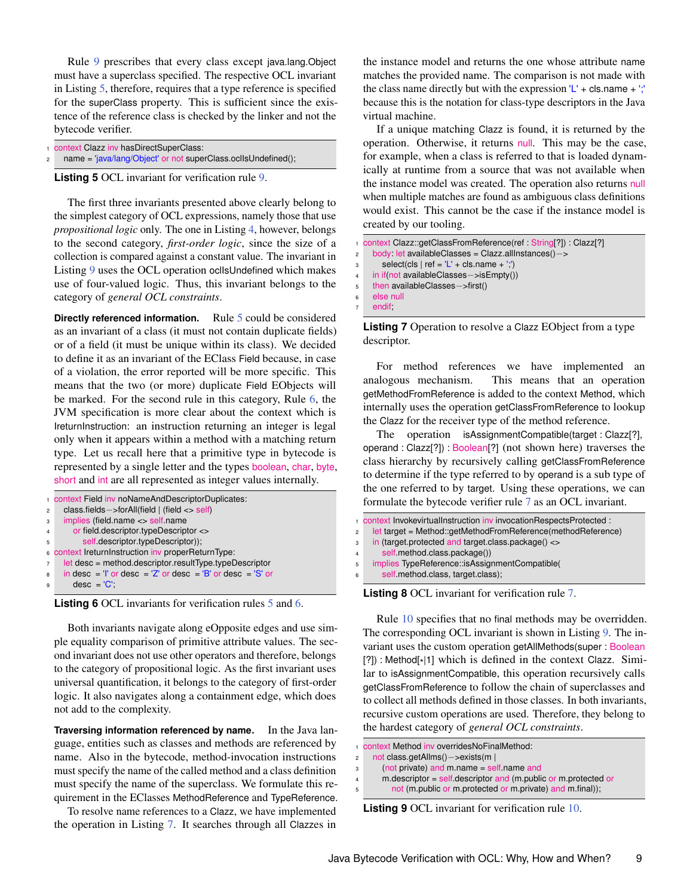Rule [9](#page-4-2) prescribes that every class except java.lang.Object must have a superclass specified. The respective OCL invariant in Listing [5,](#page-8-0) therefore, requires that a type reference is specified for the superClass property. This is sufficient since the existence of the reference class is checked by the linker and not the bytecode verifier.

- <span id="page-8-0"></span>context Clazz inv hasDirectSuperClass:
- name = 'java/lang/Object' or not superClass.oclIsUndefined();

**Listing 5** OCL invariant for verification rule [9.](#page-4-2)

The first three invariants presented above clearly belong to the simplest category of OCL expressions, namely those that use *propositional logic* only. The one in Listing [4,](#page-3-5) however, belongs to the second category, *first-order logic*, since the size of a collection is compared against a constant value. The invariant in Listing [9](#page-4-2) uses the OCL operation oclIsUndefined which makes use of four-valued logic. Thus, this invariant belongs to the category of *general OCL constraints*.

**Directly referenced information.** Rule [5](#page-3-6) could be considered as an invariant of a class (it must not contain duplicate fields) or of a field (it must be unique within its class). We decided to define it as an invariant of the EClass Field because, in case of a violation, the error reported will be more specific. This means that the two (or more) duplicate Field EObjects will be marked. For the second rule in this category, Rule [6,](#page-3-7) the JVM specification is more clear about the context which is IreturnInstruction: an instruction returning an integer is legal only when it appears within a method with a matching return type. Let us recall here that a primitive type in bytecode is represented by a single letter and the types boolean, char, byte, short and int are all represented as integer values internally.

```
1 context Field inv noNameAndDescriptorDuplicates:
2 class.fields−>forAll(field | (field <> self)
    implies (field.name <> self.name
       or field.descriptor.typeDescriptor <>
5 self.descriptor.typeDescriptor));
6 context IreturnInstruction inv properReturnType:
7 let desc = method.descriptor.resultType.typeDescriptor
\overline{\text{B}} in desc = 'I' or desc = 'Z' or desc = 'B' or desc = 'S' or
9 desc = 'C';
```


Both invariants navigate along eOpposite edges and use simple equality comparison of primitive attribute values. The second invariant does not use other operators and therefore, belongs to the category of propositional logic. As the first invariant uses universal quantification, it belongs to the category of first-order logic. It also navigates along a containment edge, which does not add to the complexity.

**Traversing information referenced by name.** In the Java language, entities such as classes and methods are referenced by name. Also in the bytecode, method-invocation instructions must specify the name of the called method and a class definition must specify the name of the superclass. We formulate this requirement in the EClasses MethodReference and TypeReference.

To resolve name references to a Clazz, we have implemented the operation in Listing [7.](#page-8-1) It searches through all Clazzes in

the instance model and returns the one whose attribute name matches the provided name. The comparison is not made with the class name directly but with the expression  $L'$  + cls.name +  $\cdot$ ; because this is the notation for class-type descriptors in the Java virtual machine.

If a unique matching Clazz is found, it is returned by the operation. Otherwise, it returns null. This may be the case, for example, when a class is referred to that is loaded dynamically at runtime from a source that was not available when the instance model was created. The operation also returns null when multiple matches are found as ambiguous class definitions would exist. This cannot be the case if the instance model is created by our tooling.

```
1 context Clazz::getClassFromReference(ref : String[?]) : Clazz[?]
2 body: let availableClasses = Clazz.allInstances() -><br>select(cls | ref = 'L' + cls.name + ';')
        select(cls | ref = 'L' + cls.name + ';')4 in if(not availableClasses−>isEmpty())
5 then availableClasses−>first()<br>6 else null
     else null
     endif;
```
**Listing 7** Operation to resolve a Clazz EObject from a type descriptor.

For method references we have implemented an analogous mechanism. This means that an operation getMethodFromReference is added to the context Method, which internally uses the operation getClassFromReference to lookup the Clazz for the receiver type of the method reference.

The operation isAssignmentCompatible(target : Clazz[?], operand : Clazz[?]) : Boolean[?] (not shown here) traverses the class hierarchy by recursively calling getClassFromReference to determine if the type referred to by operand is a sub type of the one referred to by target. Using these operations, we can formulate the bytecode verifier rule [7](#page-3-1) as an OCL invariant.

```
1 context InvokevirtualInstruction inv invocationRespectsProtected :
2 let target = Method::getMethodFromReference(methodReference)
3 in (target.protected and target.class.package() <>
4 self.method.class.package())
5 implies TypeReference::isAssignmentCompatible(
6 self.method.class, target.class);
```
**Listing 8** OCL invariant for verification rule [7.](#page-3-1)

Rule [10](#page-4-3) specifies that no final methods may be overridden. The corresponding OCL invariant is shown in Listing [9.](#page-8-2) The invariant uses the custom operation getAllMethods(super : Boolean [?]) : Method[ \* |1] which is defined in the context Clazz. Similar to isAssignmentCompatible, this operation recursively calls getClassFromReference to follow the chain of superclasses and to collect all methods defined in those classes. In both invariants, recursive custom operations are used. Therefore, they belong to the hardest category of *general OCL constraints*.

```
1 context Method inv overridesNoFinalMethod:
```

```
2 not class.getAllms()−>exists(m |<br>3 (not private) and m.name = sel
```
- (not private) and m.name = self.name and
- 4 m.descriptor = self.descriptor and (m.public or m.protected or
- <sup>5</sup> not (m.public or m.protected or m.private) and m.final));

**Listing 9** OCL invariant for verification rule [10.](#page-4-3)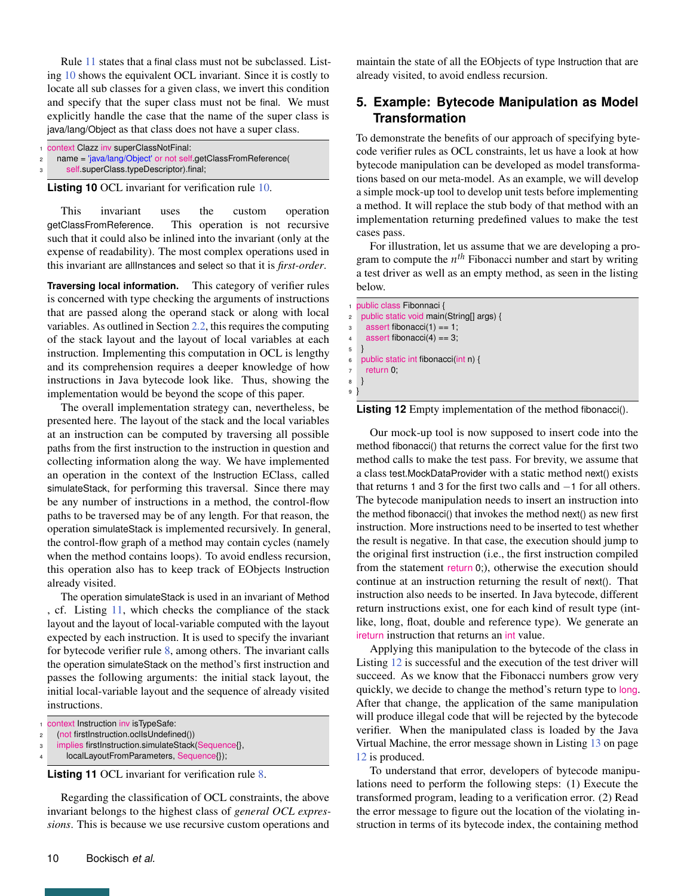Rule [11](#page-4-4) states that a final class must not be subclassed. Listing [10](#page-9-1) shows the equivalent OCL invariant. Since it is costly to locate all sub classes for a given class, we invert this condition and specify that the super class must not be final. We must explicitly handle the case that the name of the super class is java/lang/Object as that class does not have a super class.

<span id="page-9-1"></span>

|   | context Clazz inv superClassNotFinal:                        |
|---|--------------------------------------------------------------|
|   | name = 'java/lang/Object' or not self getClassFromReference( |
| 3 | self.superClass.typeDescriptor).final;                       |

**Listing 10** OCL invariant for verification rule [10.](#page-9-1)

This invariant uses the custom operation getClassFromReference. This operation is not recursive such that it could also be inlined into the invariant (only at the expense of readability). The most complex operations used in this invariant are allInstances and select so that it is *first-order*.

**Traversing local information.** This category of verifier rules is concerned with type checking the arguments of instructions that are passed along the operand stack or along with local variables. As outlined in Section [2.2,](#page-2-0) this requires the computing of the stack layout and the layout of local variables at each instruction. Implementing this computation in OCL is lengthy and its comprehension requires a deeper knowledge of how instructions in Java bytecode look like. Thus, showing the implementation would be beyond the scope of this paper.

The overall implementation strategy can, nevertheless, be presented here. The layout of the stack and the local variables at an instruction can be computed by traversing all possible paths from the first instruction to the instruction in question and collecting information along the way. We have implemented an operation in the context of the Instruction EClass, called simulateStack, for performing this traversal. Since there may be any number of instructions in a method, the control-flow paths to be traversed may be of any length. For that reason, the operation simulateStack is implemented recursively. In general, the control-flow graph of a method may contain cycles (namely when the method contains loops). To avoid endless recursion, this operation also has to keep track of EObjects Instruction already visited.

The operation simulateStack is used in an invariant of Method , cf. Listing [11,](#page-9-2) which checks the compliance of the stack layout and the layout of local-variable computed with the layout expected by each instruction. It is used to specify the invariant for bytecode verifier rule [8,](#page-3-0) among others. The invariant calls the operation simulateStack on the method's first instruction and passes the following arguments: the initial stack layout, the initial local-variable layout and the sequence of already visited instructions.

```
1 context Instruction inv isTypeSafe:
```

```
2 (not firstInstruction.oclIsUndefined())
```

```
implies firstInstruction.simulateStack(Sequence{},
```

```
4 localLayoutFromParameters, Sequence{});
```
**Listing 11** OCL invariant for verification rule [8.](#page-3-0)

Regarding the classification of OCL constraints, the above invariant belongs to the highest class of *general OCL expressions*. This is because we use recursive custom operations and

maintain the state of all the EObjects of type Instruction that are already visited, to avoid endless recursion.

# <span id="page-9-0"></span>**5. Example: Bytecode Manipulation as Model Transformation**

To demonstrate the benefits of our approach of specifying bytecode verifier rules as OCL constraints, let us have a look at how bytecode manipulation can be developed as model transformations based on our meta-model. As an example, we will develop a simple mock-up tool to develop unit tests before implementing a method. It will replace the stub body of that method with an implementation returning predefined values to make the test cases pass.

For illustration, let us assume that we are developing a program to compute the *n th* Fibonacci number and start by writing a test driver as well as an empty method, as seen in the listing below.

<span id="page-9-3"></span>

|                | 1 public class Fibonnaci {               |
|----------------|------------------------------------------|
| $\overline{c}$ | public static void main(String[] args) { |
| 3              | assert fibonacci $(1) == 1$ ;            |
| 4              | assert fibonacci $(4) == 3$ ;            |
| 5              |                                          |
| 6              | public static int fibonacci(int n) {     |
| $\overline{7}$ | return $0$ :                             |
| 8              |                                          |
| 9              |                                          |
|                |                                          |

**Listing 12** Empty implementation of the method fibonacci().

Our mock-up tool is now supposed to insert code into the method fibonacci() that returns the correct value for the first two method calls to make the test pass. For brevity, we assume that a class test.MockDataProvider with a static method next() exists that returns <sup>1</sup> and <sup>3</sup> for the first two calls and −<sup>1</sup> for all others. The bytecode manipulation needs to insert an instruction into the method fibonacci() that invokes the method next() as new first instruction. More instructions need to be inserted to test whether the result is negative. In that case, the execution should jump to the original first instruction (i.e., the first instruction compiled from the statement return 0;), otherwise the execution should continue at an instruction returning the result of next(). That instruction also needs to be inserted. In Java bytecode, different return instructions exist, one for each kind of result type (intlike, long, float, double and reference type). We generate an ireturn instruction that returns an int value.

Applying this manipulation to the bytecode of the class in Listing [12](#page-9-3) is successful and the execution of the test driver will succeed. As we know that the Fibonacci numbers grow very quickly, we decide to change the method's return type to long. After that change, the application of the same manipulation will produce illegal code that will be rejected by the bytecode verifier. When the manipulated class is loaded by the Java Virtual Machine, the error message shown in Listing [13](#page-11-1) on page [12](#page-11-1) is produced.

To understand that error, developers of bytecode manipulations need to perform the following steps: (1) Execute the transformed program, leading to a verification error. (2) Read the error message to figure out the location of the violating instruction in terms of its bytecode index, the containing method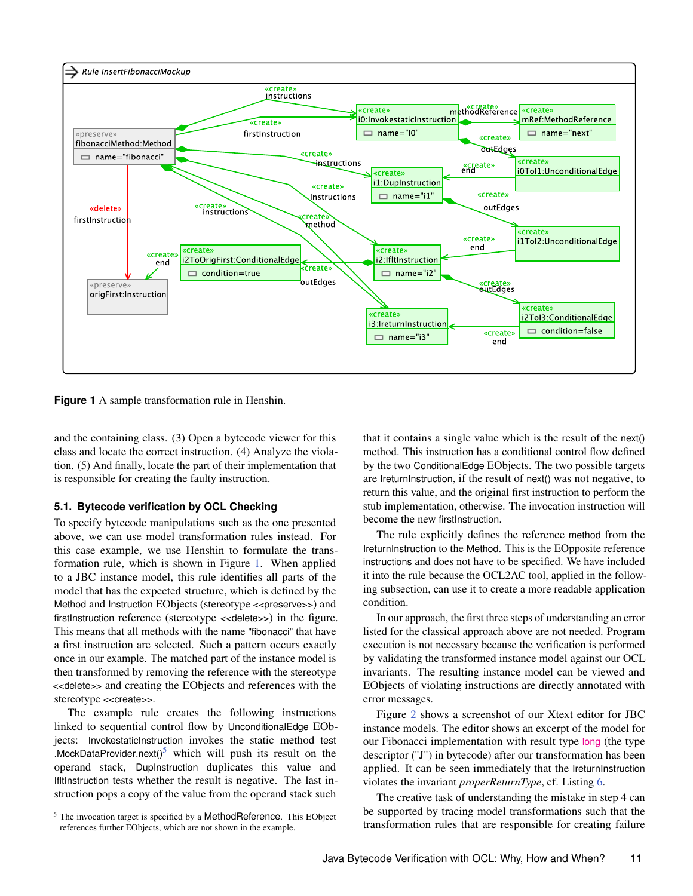<span id="page-10-0"></span>

**Figure 1** A sample transformation rule in Henshin.

and the containing class. (3) Open a bytecode viewer for this class and locate the correct instruction. (4) Analyze the violation. (5) And finally, locate the part of their implementation that is responsible for creating the faulty instruction.

## **5.1. Bytecode verification by OCL Checking**

To specify bytecode manipulations such as the one presented above, we can use model transformation rules instead. For this case example, we use Henshin to formulate the transformation rule, which is shown in Figure [1.](#page-10-0) When applied to a JBC instance model, this rule identifies all parts of the model that has the expected structure, which is defined by the Method and Instruction EObjects (stereotype <<preserve>>) and firstInstruction reference (stereotype <<delete>>) in the figure. This means that all methods with the name "fibonacci" that have a first instruction are selected. Such a pattern occurs exactly once in our example. The matched part of the instance model is then transformed by removing the reference with the stereotype <<delete>> and creating the EObjects and references with the stereotype <<create>>.

The example rule creates the following instructions linked to sequential control flow by UnconditionalEdge EObjects: InvokestaticInstruction invokes the static method test .MockDataProvider.next( $15$  $15$  which will push its result on the operand stack, DupInstruction duplicates this value and IfltInstruction tests whether the result is negative. The last instruction pops a copy of the value from the operand stack such

that it contains a single value which is the result of the next() method. This instruction has a conditional control flow defined by the two ConditionalEdge EObjects. The two possible targets are IreturnInstruction, if the result of next() was not negative, to return this value, and the original first instruction to perform the stub implementation, otherwise. The invocation instruction will become the new firstInstruction.

The rule explicitly defines the reference method from the IreturnInstruction to the Method. This is the EOpposite reference instructions and does not have to be specified. We have included it into the rule because the OCL2AC tool, applied in the following subsection, can use it to create a more readable application condition.

In our approach, the first three steps of understanding an error listed for the classical approach above are not needed. Program execution is not necessary because the verification is performed by validating the transformed instance model against our OCL invariants. The resulting instance model can be viewed and EObjects of violating instructions are directly annotated with error messages.

Figure [2](#page-11-2) shows a screenshot of our Xtext editor for JBC instance models. The editor shows an excerpt of the model for our Fibonacci implementation with result type long (the type descriptor ("J") in bytecode) after our transformation has been applied. It can be seen immediately that the IreturnInstruction violates the invariant *properReturnType*, cf. Listing [6.](#page-8-3)

The creative task of understanding the mistake in step 4 can be supported by tracing model transformations such that the transformation rules that are responsible for creating failure

<sup>&</sup>lt;sup>5</sup> The invocation target is specified by a MethodReference. This EObject references further EObjects, which are not shown in the example.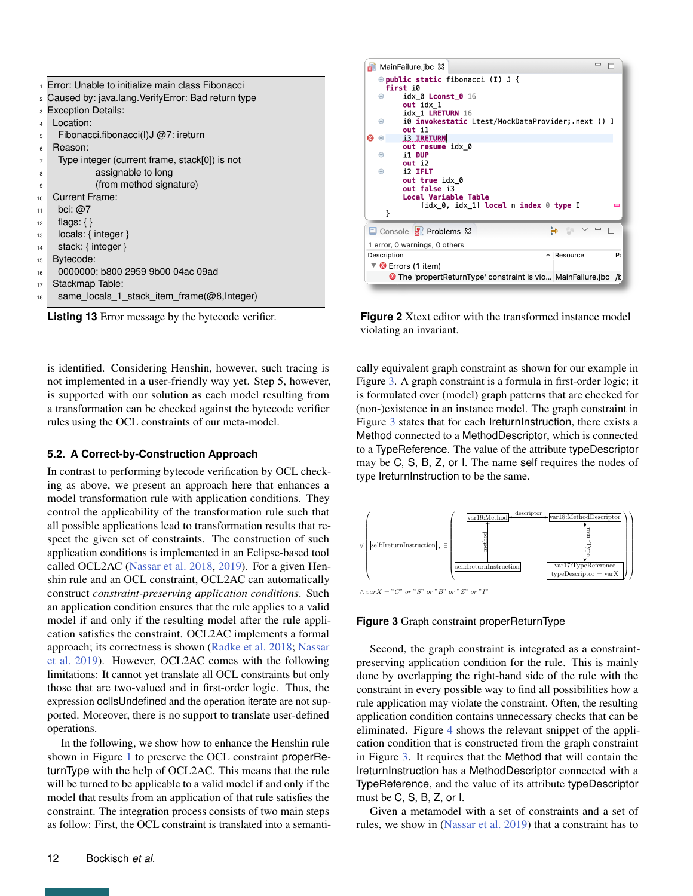<span id="page-11-2"></span><span id="page-11-1"></span>

|                | <sub>1</sub> Error: Unable to initialize main class Fibonacci |
|----------------|---------------------------------------------------------------|
|                | 2 Caused by: java.lang. Verify Error: Bad return type         |
|                | 3 Exception Details:                                          |
| 4              | Location:                                                     |
| 5              | Fibonacci.fibonacci(I)J $@7$ : ireturn                        |
| 6              | Reason:                                                       |
| $\overline{7}$ | Type integer (current frame, stack[0]) is not                 |
| 8              | assignable to long                                            |
| 9              | (from method signature)                                       |
| 10             | <b>Current Frame:</b>                                         |
| 11             | bci: $@7$                                                     |
| 12             | flags: $\{\}$                                                 |
| 13             | $locals: \{ integer\}$                                        |
| 14             | stack: { integer }                                            |
| 15             | Bytecode:                                                     |
| 16             | 0000000: b800 2959 9b00 04ac 09ad                             |
| 17             | Stackmap Table:                                               |
| 18             | same locals 1 stack item frame( $@8$ , Integer)               |

is identified. Considering Henshin, however, such tracing is not implemented in a user-friendly way yet. Step 5, however, is supported with our solution as each model resulting from a transformation can be checked against the bytecode verifier rules using the OCL constraints of our meta-model.

## <span id="page-11-0"></span>**5.2. A Correct-by-Construction Approach**

In contrast to performing bytecode verification by OCL checking as above, we present an approach here that enhances a model transformation rule with application conditions. They control the applicability of the transformation rule such that all possible applications lead to transformation results that respect the given set of constraints. The construction of such application conditions is implemented in an Eclipse-based tool called OCL2AC [\(Nassar et al.](#page-14-11) [2018,](#page-14-11) [2019\)](#page-14-10). For a given Henshin rule and an OCL constraint, OCL2AC can automatically construct *constraint-preserving application conditions*. Such an application condition ensures that the rule applies to a valid model if and only if the resulting model after the rule application satisfies the constraint. OCL2AC implements a formal approach; its correctness is shown [\(Radke et al.](#page-14-15) [2018;](#page-14-15) [Nassar](#page-14-10) [et al.](#page-14-10) [2019\)](#page-14-10). However, OCL2AC comes with the following limitations: It cannot yet translate all OCL constraints but only those that are two-valued and in first-order logic. Thus, the expression oclIsUndefined and the operation iterate are not supported. Moreover, there is no support to translate user-defined operations.

In the following, we show how to enhance the Henshin rule shown in Figure [1](#page-10-0) to preserve the OCL constraint properReturnType with the help of OCL2AC. This means that the rule will be turned to be applicable to a valid model if and only if the model that results from an application of that rule satisfies the constraint. The integration process consists of two main steps as follow: First, the OCL constraint is translated into a semanti-

| E Console R Problems X<br>$\blacktriangledown$<br>1 error, 0 warnings, 0 others<br>Description<br>P<br>$\land$ Resource<br>$\nabla$ <b><math>\Theta</math></b> Errors (1 item) | —<br>B MainFailure.jbc ⊠<br>$\Theta$ public static fibonacci (I) J {<br>first i0<br>idx_0 Lconst_0 16<br>⊝<br>out idx 1<br>idx 1 LRETURN 16<br>⊜<br>out il<br>13 IRETURN<br>$\ominus$<br>œ<br>out resume idx 0<br>i1 DUP<br>⊜<br>$out$ $i2$<br>12 IFLT<br>Θ<br>out true idx 0<br>out false i3<br>Local Variable Table<br>[idx 0, idx 1] local n index 0 type I<br>ł |  |
|--------------------------------------------------------------------------------------------------------------------------------------------------------------------------------|---------------------------------------------------------------------------------------------------------------------------------------------------------------------------------------------------------------------------------------------------------------------------------------------------------------------------------------------------------------------|--|
|                                                                                                                                                                                |                                                                                                                                                                                                                                                                                                                                                                     |  |
|                                                                                                                                                                                |                                                                                                                                                                                                                                                                                                                                                                     |  |
|                                                                                                                                                                                |                                                                                                                                                                                                                                                                                                                                                                     |  |
|                                                                                                                                                                                |                                                                                                                                                                                                                                                                                                                                                                     |  |
|                                                                                                                                                                                | <b>O</b> The 'propertReturnType' constraint is vio MainFailure.jbc<br>/k                                                                                                                                                                                                                                                                                            |  |

**Listing 13** Error message by the bytecode verifier. **Figure 2** Xtext editor with the transformed instance model violating an invariant.

cally equivalent graph constraint as shown for our example in Figure [3.](#page-11-3) A graph constraint is a formula in first-order logic; it is formulated over (model) graph patterns that are checked for (non-)existence in an instance model. The graph constraint in Figure [3](#page-11-3) states that for each IreturnInstruction, there exists a Method connected to a MethodDescriptor, which is connected to a TypeReference. The value of the attribute typeDescriptor may be C, S, B, Z, or I. The name self requires the nodes of type IreturnInstruction to be the same.

<span id="page-11-3"></span>

**Figure 3** Graph constraint properReturnType

Second, the graph constraint is integrated as a constraintpreserving application condition for the rule. This is mainly done by overlapping the right-hand side of the rule with the constraint in every possible way to find all possibilities how a rule application may violate the constraint. Often, the resulting application condition contains unnecessary checks that can be eliminated. Figure [4](#page-12-2) shows the relevant snippet of the application condition that is constructed from the graph constraint in Figure [3.](#page-11-3) It requires that the Method that will contain the IreturnInstruction has a MethodDescriptor connected with a TypeReference, and the value of its attribute typeDescriptor must be C, S, B, Z, or I.

Given a metamodel with a set of constraints and a set of rules, we show in [\(Nassar et al.](#page-14-10) [2019\)](#page-14-10) that a constraint has to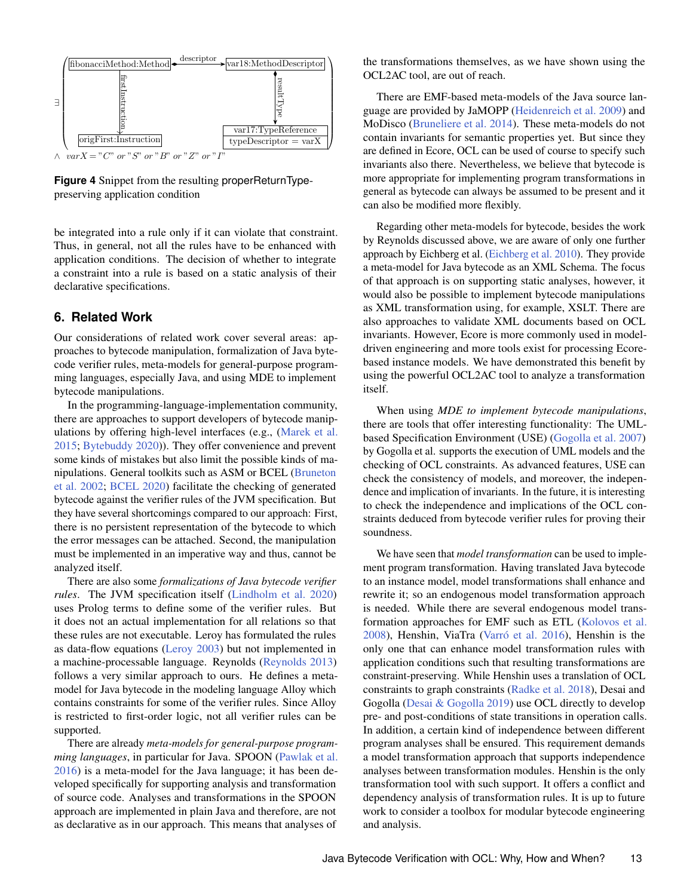<span id="page-12-2"></span>

**Figure 4** Snippet from the resulting properReturnTypepreserving application condition

be integrated into a rule only if it can violate that constraint. Thus, in general, not all the rules have to be enhanced with application conditions. The decision of whether to integrate a constraint into a rule is based on a static analysis of their declarative specifications.

## <span id="page-12-0"></span>**6. Related Work**

Our considerations of related work cover several areas: approaches to bytecode manipulation, formalization of Java bytecode verifier rules, meta-models for general-purpose programming languages, especially Java, and using MDE to implement bytecode manipulations.

In the programming-language-implementation community, there are approaches to support developers of bytecode manipulations by offering high-level interfaces (e.g., [\(Marek et al.](#page-14-16) [2015;](#page-14-16) [Bytebuddy](#page-14-17) [2020\)](#page-14-17)). They offer convenience and prevent some kinds of mistakes but also limit the possible kinds of manipulations. General toolkits such as ASM or BCEL [\(Bruneton](#page-13-0) [et al.](#page-13-0) [2002;](#page-13-0) [BCEL](#page-13-1) [2020\)](#page-13-1) facilitate the checking of generated bytecode against the verifier rules of the JVM specification. But they have several shortcomings compared to our approach: First, there is no persistent representation of the bytecode to which the error messages can be attached. Second, the manipulation must be implemented in an imperative way and thus, cannot be analyzed itself.

There are also some *formalizations of Java bytecode verifier rules*. The JVM specification itself [\(Lindholm et al.](#page-14-3) [2020\)](#page-14-3) uses Prolog terms to define some of the verifier rules. But it does not an actual implementation for all relations so that these rules are not executable. Leroy has formulated the rules as data-flow equations [\(Leroy](#page-14-18) [2003\)](#page-14-18) but not implemented in a machine-processable language. Reynolds [\(Reynolds](#page-14-19) [2013\)](#page-14-19) follows a very similar approach to ours. He defines a metamodel for Java bytecode in the modeling language Alloy which contains constraints for some of the verifier rules. Since Alloy is restricted to first-order logic, not all verifier rules can be supported.

There are already *meta-models for general-purpose programming languages*, in particular for Java. SPOON [\(Pawlak et al.](#page-14-20) [2016\)](#page-14-20) is a meta-model for the Java language; it has been developed specifically for supporting analysis and transformation of source code. Analyses and transformations in the SPOON approach are implemented in plain Java and therefore, are not as declarative as in our approach. This means that analyses of

the transformations themselves, as we have shown using the OCL2AC tool, are out of reach.

There are EMF-based meta-models of the Java source language are provided by JaMOPP [\(Heidenreich et al.](#page-13-9) [2009\)](#page-13-9) and MoDisco [\(Bruneliere et al.](#page-13-10) [2014\)](#page-13-10). These meta-models do not contain invariants for semantic properties yet. But since they are defined in Ecore, OCL can be used of course to specify such invariants also there. Nevertheless, we believe that bytecode is more appropriate for implementing program transformations in general as bytecode can always be assumed to be present and it can also be modified more flexibly.

Regarding other meta-models for bytecode, besides the work by Reynolds discussed above, we are aware of only one further approach by Eichberg et al. [\(Eichberg et al.](#page-13-11) [2010\)](#page-13-11). They provide a meta-model for Java bytecode as an XML Schema. The focus of that approach is on supporting static analyses, however, it would also be possible to implement bytecode manipulations as XML transformation using, for example, XSLT. There are also approaches to validate XML documents based on OCL invariants. However, Ecore is more commonly used in modeldriven engineering and more tools exist for processing Ecorebased instance models. We have demonstrated this benefit by using the powerful OCL2AC tool to analyze a transformation itself.

When using *MDE to implement bytecode manipulations*, there are tools that offer interesting functionality: The UMLbased Specification Environment (USE) [\(Gogolla et al.](#page-13-12) [2007\)](#page-13-12) by Gogolla et al. supports the execution of UML models and the checking of OCL constraints. As advanced features, USE can check the consistency of models, and moreover, the independence and implication of invariants. In the future, it is interesting to check the independence and implications of the OCL constraints deduced from bytecode verifier rules for proving their soundness.

<span id="page-12-1"></span>We have seen that *model transformation* can be used to implement program transformation. Having translated Java bytecode to an instance model, model transformations shall enhance and rewrite it; so an endogenous model transformation approach is needed. While there are several endogenous model transformation approaches for EMF such as ETL [\(Kolovos et al.](#page-14-21) [2008\)](#page-14-21), Henshin, ViaTra [\(Varró et al.](#page-14-22) [2016\)](#page-14-22), Henshin is the only one that can enhance model transformation rules with application conditions such that resulting transformations are constraint-preserving. While Henshin uses a translation of OCL constraints to graph constraints [\(Radke et al.](#page-14-15) [2018\)](#page-14-15), Desai and Gogolla [\(Desai & Gogolla](#page-13-13) [2019\)](#page-13-13) use OCL directly to develop pre- and post-conditions of state transitions in operation calls. In addition, a certain kind of independence between different program analyses shall be ensured. This requirement demands a model transformation approach that supports independence analyses between transformation modules. Henshin is the only transformation tool with such support. It offers a conflict and dependency analysis of transformation rules. It is up to future work to consider a toolbox for modular bytecode engineering and analysis.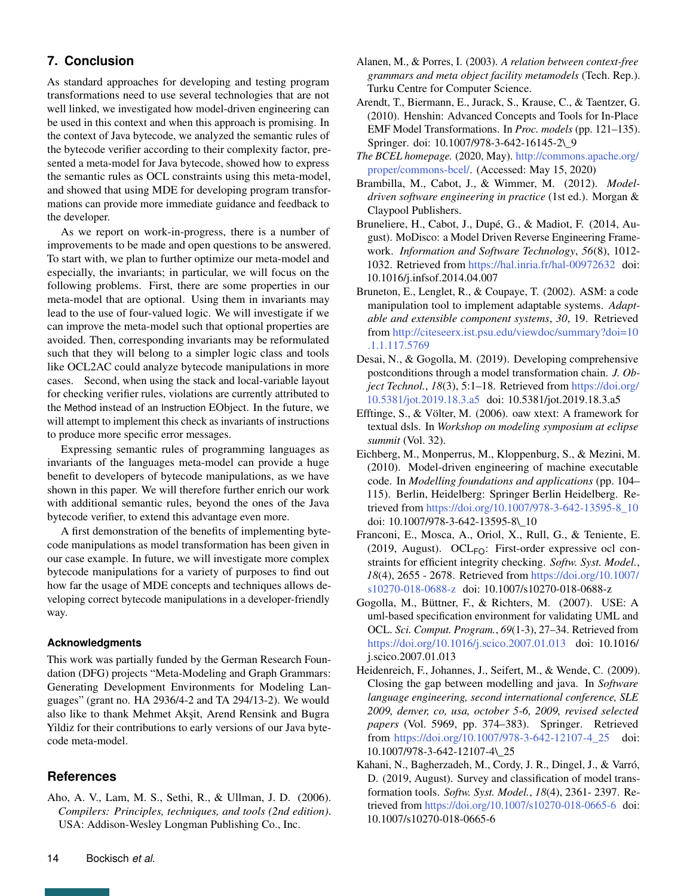# **7. Conclusion**

As standard approaches for developing and testing program transformations need to use several technologies that are not well linked, we investigated how model-driven engineering can be used in this context and when this approach is promising. In the context of Java bytecode, we analyzed the semantic rules of the bytecode verifier according to their complexity factor, presented a meta-model for Java bytecode, showed how to express the semantic rules as OCL constraints using this meta-model, and showed that using MDE for developing program transformations can provide more immediate guidance and feedback to the developer.

As we report on work-in-progress, there is a number of improvements to be made and open questions to be answered. To start with, we plan to further optimize our meta-model and especially, the invariants; in particular, we will focus on the following problems. First, there are some properties in our meta-model that are optional. Using them in invariants may lead to the use of four-valued logic. We will investigate if we can improve the meta-model such that optional properties are avoided. Then, corresponding invariants may be reformulated such that they will belong to a simpler logic class and tools like OCL2AC could analyze bytecode manipulations in more cases. Second, when using the stack and local-variable layout for checking verifier rules, violations are currently attributed to the Method instead of an Instruction EObject. In the future, we will attempt to implement this check as invariants of instructions to produce more specific error messages.

Expressing semantic rules of programming languages as invariants of the languages meta-model can provide a huge benefit to developers of bytecode manipulations, as we have shown in this paper. We will therefore further enrich our work with additional semantic rules, beyond the ones of the Java bytecode verifier, to extend this advantage even more.

A first demonstration of the benefits of implementing bytecode manipulations as model transformation has been given in our case example. In future, we will investigate more complex bytecode manipulations for a variety of purposes to find out how far the usage of MDE concepts and techniques allows developing correct bytecode manipulations in a developer-friendly way.

## **Acknowledgments**

This work was partially funded by the German Research Foundation (DFG) projects "Meta-Modeling and Graph Grammars: Generating Development Environments for Modeling Languages" (grant no. HA 2936/4-2 and TA 294/13-2). We would also like to thank Mehmet Akşit, Arend Rensink and Bugra Yildiz for their contributions to early versions of our Java bytecode meta-model.

## **References**

<span id="page-13-5"></span>Aho, A. V., Lam, M. S., Sethi, R., & Ullman, J. D. (2006). *Compilers: Principles, techniques, and tools (2nd edition)*. USA: Addison-Wesley Longman Publishing Co., Inc.

- <span id="page-13-3"></span>Alanen, M., & Porres, I. (2003). *A relation between context-free grammars and meta object facility metamodels* (Tech. Rep.). Turku Centre for Computer Science.
- <span id="page-13-8"></span>Arendt, T., Biermann, E., Jurack, S., Krause, C., & Taentzer, G. (2010). Henshin: Advanced Concepts and Tools for In-Place EMF Model Transformations. In *Proc. models* (pp. 121–135). Springer. doi: 10.1007/978-3-642-16145-2\\_9
- <span id="page-13-1"></span>*The BCEL homepage.* (2020, May). [http://commons.apache.org/](http://commons.apache.org/proper/commons-bcel/) [proper/commons-bcel/.](http://commons.apache.org/proper/commons-bcel/) (Accessed: May 15, 2020)
- <span id="page-13-2"></span>Brambilla, M., Cabot, J., & Wimmer, M. (2012). *Modeldriven software engineering in practice* (1st ed.). Morgan & Claypool Publishers.
- <span id="page-13-10"></span>Bruneliere, H., Cabot, J., Dupé, G., & Madiot, F. (2014, August). MoDisco: a Model Driven Reverse Engineering Framework. *Information and Software Technology*, *56*(8), 1012- 1032. Retrieved from <https://hal.inria.fr/hal-00972632> doi: 10.1016/j.infsof.2014.04.007
- <span id="page-13-0"></span>Bruneton, E., Lenglet, R., & Coupaye, T. (2002). ASM: a code manipulation tool to implement adaptable systems. *Adaptable and extensible component systems*, *30*, 19. Retrieved from [http://citeseerx.ist.psu.edu/viewdoc/summary?doi=10](http://citeseerx.ist.psu.edu/viewdoc/summary?doi=10.1.1.117.5769) [.1.1.117.5769](http://citeseerx.ist.psu.edu/viewdoc/summary?doi=10.1.1.117.5769)
- <span id="page-13-13"></span>Desai, N., & Gogolla, M. (2019). Developing comprehensive postconditions through a model transformation chain. *J. Object Technol.*, *18*(3), 5:1–18. Retrieved from [https://doi.org/](https://doi.org/10.5381/jot.2019.18.3.a5) [10.5381/jot.2019.18.3.a5](https://doi.org/10.5381/jot.2019.18.3.a5) doi: 10.5381/jot.2019.18.3.a5
- <span id="page-13-4"></span>Efftinge, S., & Völter, M. (2006). oaw xtext: A framework for textual dsls. In *Workshop on modeling symposium at eclipse summit* (Vol. 32).
- <span id="page-13-11"></span>Eichberg, M., Monperrus, M., Kloppenburg, S., & Mezini, M. (2010). Model-driven engineering of machine executable code. In *Modelling foundations and applications* (pp. 104– 115). Berlin, Heidelberg: Springer Berlin Heidelberg. Retrieved from [https://doi.org/10.1007/978-3-642-13595-8\\_10](https://doi.org/10.1007/978-3-642-13595-8_10) doi: 10.1007/978-3-642-13595-8\\_10
- <span id="page-13-6"></span>Franconi, E., Mosca, A., Oriol, X., Rull, G., & Teniente, E. (2019, August). OCL $_{FQ}$ : First-order expressive ocl constraints for efficient integrity checking. *Softw. Syst. Model.*, *18*(4), 2655 - 2678. Retrieved from [https://doi.org/10.1007/](https://doi.org/10.1007/s10270-018-0688-z) [s10270-018-0688-z](https://doi.org/10.1007/s10270-018-0688-z) doi: 10.1007/s10270-018-0688-z
- <span id="page-13-12"></span>Gogolla, M., Büttner, F., & Richters, M. (2007). USE: A uml-based specification environment for validating UML and OCL. *Sci. Comput. Program.*, *69*(1-3), 27–34. Retrieved from <https://doi.org/10.1016/j.scico.2007.01.013> doi: 10.1016/ j.scico.2007.01.013
- <span id="page-13-9"></span>Heidenreich, F., Johannes, J., Seifert, M., & Wende, C. (2009). Closing the gap between modelling and java. In *Software language engineering, second international conference, SLE 2009, denver, co, usa, october 5-6, 2009, revised selected papers* (Vol. 5969, pp. 374–383). Springer. Retrieved from [https://doi.org/10.1007/978-3-642-12107-4\\_25](https://doi.org/10.1007/978-3-642-12107-4_25) doi: 10.1007/978-3-642-12107-4\\_25
- <span id="page-13-7"></span>Kahani, N., Bagherzadeh, M., Cordy, J. R., Dingel, J., & Varró, D. (2019, August). Survey and classification of model transformation tools. *Softw. Syst. Model.*, *18*(4), 2361- 2397. Retrieved from <https://doi.org/10.1007/s10270-018-0665-6> doi: 10.1007/s10270-018-0665-6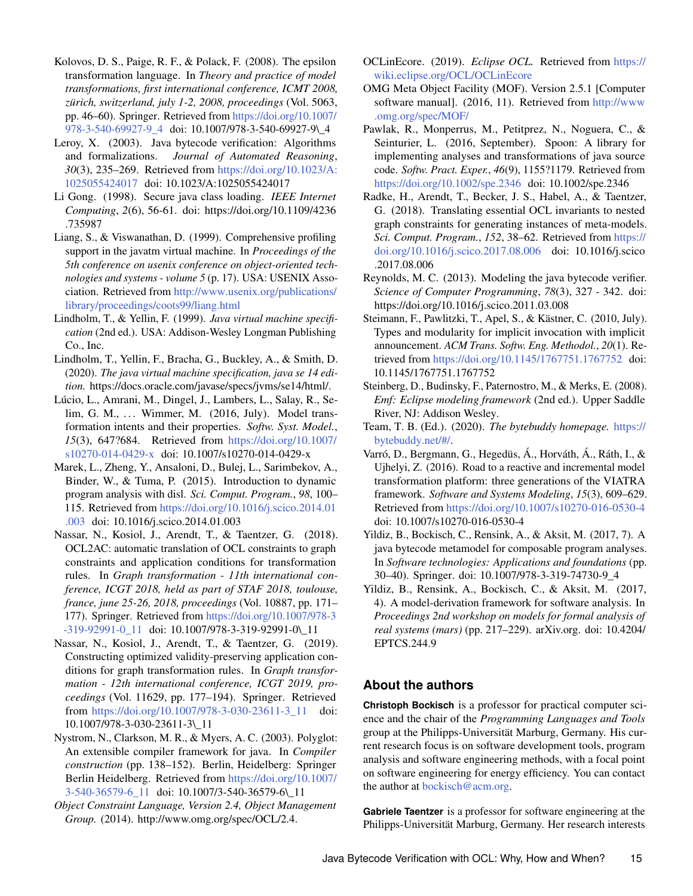- <span id="page-14-21"></span>Kolovos, D. S., Paige, R. F., & Polack, F. (2008). The epsilon transformation language. In *Theory and practice of model transformations, first international conference, ICMT 2008, zürich, switzerland, july 1-2, 2008, proceedings* (Vol. 5063, pp. 46–60). Springer. Retrieved from [https://doi.org/10.1007/](https://doi.org/10.1007/978-3-540-69927-9_4) [978-3-540-69927-9\\_4](https://doi.org/10.1007/978-3-540-69927-9_4) doi: 10.1007/978-3-540-69927-9\\_4
- <span id="page-14-18"></span>Leroy, X. (2003). Java bytecode verification: Algorithms and formalizations. *Journal of Automated Reasoning*, *30*(3), 235–269. Retrieved from [https://doi.org/10.1023/A:](https://doi.org/10.1023/A:1025055424017) [1025055424017](https://doi.org/10.1023/A:1025055424017) doi: 10.1023/A:1025055424017
- <span id="page-14-5"></span>Li Gong. (1998). Secure java class loading. *IEEE Internet Computing*, *2*(6), 56-61. doi: https://doi.org/10.1109/4236 .735987
- <span id="page-14-1"></span>Liang, S., & Viswanathan, D. (1999). Comprehensive profiling support in the javatm virtual machine. In *Proceedings of the 5th conference on usenix conference on object-oriented technologies and systems - volume 5* (p. 17). USA: USENIX Association. Retrieved from [http://www.usenix.org/publications/](http://www.usenix.org/publications/library/proceedings/coots99/liang.html) [library/proceedings/coots99/liang.html](http://www.usenix.org/publications/library/proceedings/coots99/liang.html)
- <span id="page-14-14"></span>Lindholm, T., & Yellin, F. (1999). *Java virtual machine specification* (2nd ed.). USA: Addison-Wesley Longman Publishing Co., Inc.
- <span id="page-14-3"></span>Lindholm, T., Yellin, F., Bracha, G., Buckley, A., & Smith, D. (2020). *The java virtual machine specification, java se 14 edition.* https://docs.oracle.com/javase/specs/jvms/se14/html/.
- <span id="page-14-8"></span>Lúcio, L., Amrani, M., Dingel, J., Lambers, L., Salay, R., Selim, G. M., ... Wimmer, M. (2016, July). Model transformation intents and their properties. *Softw. Syst. Model.*, *15*(3), 647?684. Retrieved from [https://doi.org/10.1007/](https://doi.org/10.1007/s10270-014-0429-x) [s10270-014-0429-x](https://doi.org/10.1007/s10270-014-0429-x) doi: 10.1007/s10270-014-0429-x
- <span id="page-14-16"></span>Marek, L., Zheng, Y., Ansaloni, D., Bulej, L., Sarimbekov, A., Binder, W., & Tuma, P. (2015). Introduction to dynamic program analysis with disl. *Sci. Comput. Program.*, *98*, 100– 115. Retrieved from [https://doi.org/10.1016/j.scico.2014.01](https://doi.org/10.1016/j.scico.2014.01.003) [.003](https://doi.org/10.1016/j.scico.2014.01.003) doi: 10.1016/j.scico.2014.01.003
- <span id="page-14-11"></span>Nassar, N., Kosiol, J., Arendt, T., & Taentzer, G. (2018). OCL2AC: automatic translation of OCL constraints to graph constraints and application conditions for transformation rules. In *Graph transformation - 11th international conference, ICGT 2018, held as part of STAF 2018, toulouse, france, june 25-26, 2018, proceedings* (Vol. 10887, pp. 171– 177). Springer. Retrieved from [https://doi.org/10.1007/978-3](https://doi.org/10.1007/978-3-319-92991-0_11) [-319-92991-0\\_11](https://doi.org/10.1007/978-3-319-92991-0_11) doi: 10.1007/978-3-319-92991-0\\_11
- <span id="page-14-10"></span>Nassar, N., Kosiol, J., Arendt, T., & Taentzer, G. (2019). Constructing optimized validity-preserving application conditions for graph transformation rules. In *Graph transformation - 12th international conference, ICGT 2019, proceedings* (Vol. 11629, pp. 177–194). Springer. Retrieved from [https://doi.org/10.1007/978-3-030-23611-3\\_11](https://doi.org/10.1007/978-3-030-23611-3_11) doi: 10.1007/978-3-030-23611-3\\_11
- <span id="page-14-2"></span>Nystrom, N., Clarkson, M. R., & Myers, A. C. (2003). Polyglot: An extensible compiler framework for java. In *Compiler construction* (pp. 138–152). Berlin, Heidelberg: Springer Berlin Heidelberg. Retrieved from [https://doi.org/10.1007/](https://doi.org/10.1007/3-540-36579-6_11) [3-540-36579-6\\_11](https://doi.org/10.1007/3-540-36579-6_11) doi: 10.1007/3-540-36579-6\\_11
- <span id="page-14-4"></span>*Object Constraint Language, Version 2.4, Object Management Group.* (2014). http://www.omg.org/spec/OCL/2.4.
- <span id="page-14-9"></span>OCLinEcore. (2019). *Eclipse OCL.* Retrieved from [https://](https://wiki.eclipse.org/OCL/OCLinEcore) [wiki.eclipse.org/OCL/OCLinEcore](https://wiki.eclipse.org/OCL/OCLinEcore)
- <span id="page-14-7"></span>OMG Meta Object Facility (MOF). Version 2.5.1 [Computer software manual]. (2016, 11). Retrieved from [http://www](http://www.omg.org/spec/MOF/) [.omg.org/spec/MOF/](http://www.omg.org/spec/MOF/)
- <span id="page-14-20"></span>Pawlak, R., Monperrus, M., Petitprez, N., Noguera, C., & Seinturier, L. (2016, September). Spoon: A library for implementing analyses and transformations of java source code. *Softw. Pract. Exper.*, *46*(9), 1155?1179. Retrieved from <https://doi.org/10.1002/spe.2346> doi: 10.1002/spe.2346
- <span id="page-14-15"></span>Radke, H., Arendt, T., Becker, J. S., Habel, A., & Taentzer, G. (2018). Translating essential OCL invariants to nested graph constraints for generating instances of meta-models. *Sci. Comput. Program.*, *152*, 38–62. Retrieved from [https://](https://doi.org/10.1016/j.scico.2017.08.006) [doi.org/10.1016/j.scico.2017.08.006](https://doi.org/10.1016/j.scico.2017.08.006) doi: 10.1016/j.scico .2017.08.006
- <span id="page-14-19"></span>Reynolds, M. C. (2013). Modeling the java bytecode verifier. *Science of Computer Programming*, *78*(3), 327 - 342. doi: https://doi.org/10.1016/j.scico.2011.03.008
- <span id="page-14-0"></span>Steimann, F., Pawlitzki, T., Apel, S., & Kästner, C. (2010, July). Types and modularity for implicit invocation with implicit announcement. *ACM Trans. Softw. Eng. Methodol.*, *20*(1). Retrieved from <https://doi.org/10.1145/1767751.1767752> doi: 10.1145/1767751.1767752
- <span id="page-14-6"></span>Steinberg, D., Budinsky, F., Paternostro, M., & Merks, E. (2008). *Emf: Eclipse modeling framework* (2nd ed.). Upper Saddle River, NJ: Addison Wesley.
- <span id="page-14-17"></span>Team, T. B. (Ed.). (2020). *The bytebuddy homepage.* [https://](https://bytebuddy.net/#/) [bytebuddy.net/#/.](https://bytebuddy.net/#/)
- <span id="page-14-22"></span>Varró, D., Bergmann, G., Hegedüs, Á., Horváth, Á., Ráth, I., & Ujhelyi, Z. (2016). Road to a reactive and incremental model transformation platform: three generations of the VIATRA framework. *Software and Systems Modeling*, *15*(3), 609–629. Retrieved from <https://doi.org/10.1007/s10270-016-0530-4> doi: 10.1007/s10270-016-0530-4
- <span id="page-14-12"></span>Yildiz, B., Bockisch, C., Rensink, A., & Aksit, M. (2017, 7). A java bytecode metamodel for composable program analyses. In *Software technologies: Applications and foundations* (pp. 30–40). Springer. doi: 10.1007/978-3-319-74730-9\_4
- <span id="page-14-13"></span>Yildiz, B., Rensink, A., Bockisch, C., & Aksit, M. (2017, 4). A model-derivation framework for software analysis. In *Proceedings 2nd workshop on models for formal analysis of real systems (mars)* (pp. 217–229). arXiv.org. doi: 10.4204/ EPTCS.244.9

# **About the authors**

**Christoph Bockisch** is a professor for practical computer science and the chair of the *Programming Languages and Tools* group at the Philipps-Universität Marburg, Germany. His current research focus is on software development tools, program analysis and software engineering methods, with a focal point on software engineering for energy efficiency. You can contact the author at [bockisch@acm.org.](mailto:bockisch@acm.org?subject=Your paper "Java Bytecode Verification with OCL\Why, How and When?")

**Gabriele Taentzer** is a professor for software engineering at the Philipps-Universität Marburg, Germany. Her research interests